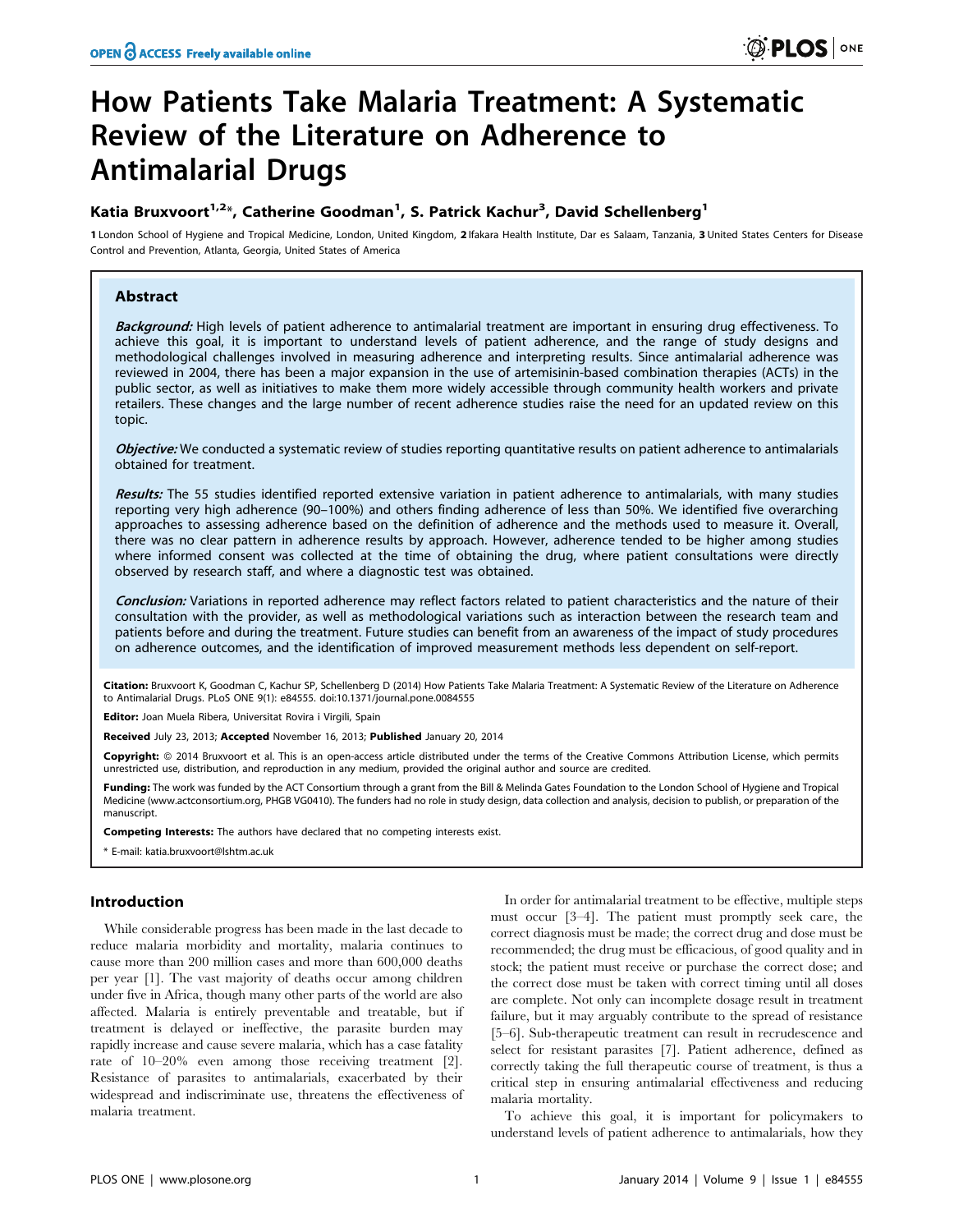# How Patients Take Malaria Treatment: A Systematic Review of the Literature on Adherence to Antimalarial Drugs

# Katia Bruxvoort $^{1,2}$ \*, Catherine Goodman $^{1}$ , S. Patrick Kachur $^{3}$ , David Schellenberg $^{1}$

1 London School of Hygiene and Tropical Medicine, London, United Kingdom, 2 Ifakara Health Institute, Dar es Salaam, Tanzania, 3 United States Centers for Disease Control and Prevention, Atlanta, Georgia, United States of America

# Abstract

Background: High levels of patient adherence to antimalarial treatment are important in ensuring drug effectiveness. To achieve this goal, it is important to understand levels of patient adherence, and the range of study designs and methodological challenges involved in measuring adherence and interpreting results. Since antimalarial adherence was reviewed in 2004, there has been a major expansion in the use of artemisinin-based combination therapies (ACTs) in the public sector, as well as initiatives to make them more widely accessible through community health workers and private retailers. These changes and the large number of recent adherence studies raise the need for an updated review on this topic.

Objective: We conducted a systematic review of studies reporting quantitative results on patient adherence to antimalarials obtained for treatment.

Results: The 55 studies identified reported extensive variation in patient adherence to antimalarials, with many studies reporting very high adherence (90–100%) and others finding adherence of less than 50%. We identified five overarching approaches to assessing adherence based on the definition of adherence and the methods used to measure it. Overall, there was no clear pattern in adherence results by approach. However, adherence tended to be higher among studies where informed consent was collected at the time of obtaining the drug, where patient consultations were directly observed by research staff, and where a diagnostic test was obtained.

Conclusion: Variations in reported adherence may reflect factors related to patient characteristics and the nature of their consultation with the provider, as well as methodological variations such as interaction between the research team and patients before and during the treatment. Future studies can benefit from an awareness of the impact of study procedures on adherence outcomes, and the identification of improved measurement methods less dependent on self-report.

Citation: Bruxvoort K, Goodman C, Kachur SP, Schellenberg D (2014) How Patients Take Malaria Treatment: A Systematic Review of the Literature on Adherence to Antimalarial Drugs. PLoS ONE 9(1): e84555. doi:10.1371/journal.pone.0084555

Editor: Joan Muela Ribera, Universitat Rovira i Virgili, Spain

Received July 23, 2013; Accepted November 16, 2013; Published January 20, 2014

Copyright: © 2014 Bruxvoort et al. This is an open-access article distributed under the terms of the Creative Commons Attribution License, which permits unrestricted use, distribution, and reproduction in any medium, provided the original author and source are credited.

Funding: The work was funded by the ACT Consortium through a grant from the Bill & Melinda Gates Foundation to the London School of Hygiene and Tropical Medicine (www.actconsortium.org, PHGB VG0410). The funders had no role in study design, data collection and analysis, decision to publish, or preparation of the manuscript.

Competing Interests: The authors have declared that no competing interests exist.

\* E-mail: katia.bruxvoort@lshtm.ac.uk

## Introduction

While considerable progress has been made in the last decade to reduce malaria morbidity and mortality, malaria continues to cause more than 200 million cases and more than 600,000 deaths per year [1]. The vast majority of deaths occur among children under five in Africa, though many other parts of the world are also affected. Malaria is entirely preventable and treatable, but if treatment is delayed or ineffective, the parasite burden may rapidly increase and cause severe malaria, which has a case fatality rate of 10–20% even among those receiving treatment [2]. Resistance of parasites to antimalarials, exacerbated by their widespread and indiscriminate use, threatens the effectiveness of malaria treatment.

In order for antimalarial treatment to be effective, multiple steps must occur [3–4]. The patient must promptly seek care, the correct diagnosis must be made; the correct drug and dose must be recommended; the drug must be efficacious, of good quality and in stock; the patient must receive or purchase the correct dose; and the correct dose must be taken with correct timing until all doses are complete. Not only can incomplete dosage result in treatment failure, but it may arguably contribute to the spread of resistance [5–6]. Sub-therapeutic treatment can result in recrudescence and select for resistant parasites [7]. Patient adherence, defined as correctly taking the full therapeutic course of treatment, is thus a critical step in ensuring antimalarial effectiveness and reducing malaria mortality.

To achieve this goal, it is important for policymakers to understand levels of patient adherence to antimalarials, how they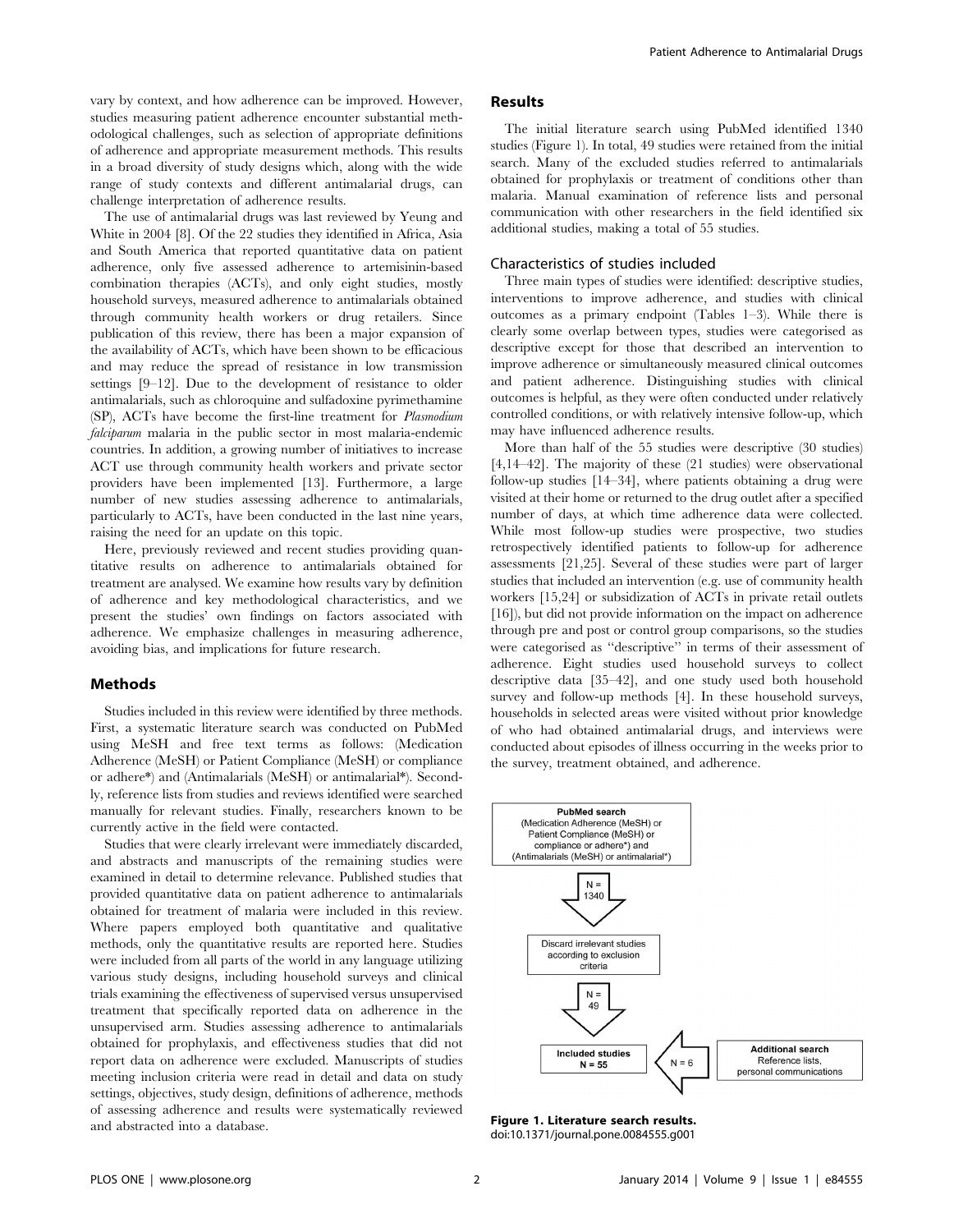vary by context, and how adherence can be improved. However, studies measuring patient adherence encounter substantial methodological challenges, such as selection of appropriate definitions of adherence and appropriate measurement methods. This results in a broad diversity of study designs which, along with the wide range of study contexts and different antimalarial drugs, can challenge interpretation of adherence results.

The use of antimalarial drugs was last reviewed by Yeung and White in 2004 [8]. Of the 22 studies they identified in Africa, Asia and South America that reported quantitative data on patient adherence, only five assessed adherence to artemisinin-based combination therapies (ACTs), and only eight studies, mostly household surveys, measured adherence to antimalarials obtained through community health workers or drug retailers. Since publication of this review, there has been a major expansion of the availability of ACTs, which have been shown to be efficacious and may reduce the spread of resistance in low transmission settings [9–12]. Due to the development of resistance to older antimalarials, such as chloroquine and sulfadoxine pyrimethamine (SP), ACTs have become the first-line treatment for Plasmodium falciparum malaria in the public sector in most malaria-endemic countries. In addition, a growing number of initiatives to increase ACT use through community health workers and private sector providers have been implemented [13]. Furthermore, a large number of new studies assessing adherence to antimalarials, particularly to ACTs, have been conducted in the last nine years, raising the need for an update on this topic.

Here, previously reviewed and recent studies providing quantitative results on adherence to antimalarials obtained for treatment are analysed. We examine how results vary by definition of adherence and key methodological characteristics, and we present the studies' own findings on factors associated with adherence. We emphasize challenges in measuring adherence, avoiding bias, and implications for future research.

#### Methods

Studies included in this review were identified by three methods. First, a systematic literature search was conducted on PubMed using MeSH and free text terms as follows: (Medication Adherence (MeSH) or Patient Compliance (MeSH) or compliance or adhere\*) and (Antimalarials (MeSH) or antimalarial\*). Secondly, reference lists from studies and reviews identified were searched manually for relevant studies. Finally, researchers known to be currently active in the field were contacted.

Studies that were clearly irrelevant were immediately discarded, and abstracts and manuscripts of the remaining studies were examined in detail to determine relevance. Published studies that provided quantitative data on patient adherence to antimalarials obtained for treatment of malaria were included in this review. Where papers employed both quantitative and qualitative methods, only the quantitative results are reported here. Studies were included from all parts of the world in any language utilizing various study designs, including household surveys and clinical trials examining the effectiveness of supervised versus unsupervised treatment that specifically reported data on adherence in the unsupervised arm. Studies assessing adherence to antimalarials obtained for prophylaxis, and effectiveness studies that did not report data on adherence were excluded. Manuscripts of studies meeting inclusion criteria were read in detail and data on study settings, objectives, study design, definitions of adherence, methods of assessing adherence and results were systematically reviewed and abstracted into a database.

# Results

The initial literature search using PubMed identified 1340 studies (Figure 1). In total, 49 studies were retained from the initial search. Many of the excluded studies referred to antimalarials obtained for prophylaxis or treatment of conditions other than malaria. Manual examination of reference lists and personal communication with other researchers in the field identified six additional studies, making a total of 55 studies.

## Characteristics of studies included

Three main types of studies were identified: descriptive studies, interventions to improve adherence, and studies with clinical outcomes as a primary endpoint (Tables 1–3). While there is clearly some overlap between types, studies were categorised as descriptive except for those that described an intervention to improve adherence or simultaneously measured clinical outcomes and patient adherence. Distinguishing studies with clinical outcomes is helpful, as they were often conducted under relatively controlled conditions, or with relatively intensive follow-up, which may have influenced adherence results.

More than half of the 55 studies were descriptive (30 studies) [4,14–42]. The majority of these (21 studies) were observational follow-up studies [14–34], where patients obtaining a drug were visited at their home or returned to the drug outlet after a specified number of days, at which time adherence data were collected. While most follow-up studies were prospective, two studies retrospectively identified patients to follow-up for adherence assessments [21,25]. Several of these studies were part of larger studies that included an intervention (e.g. use of community health workers [15,24] or subsidization of ACTs in private retail outlets [16]), but did not provide information on the impact on adherence through pre and post or control group comparisons, so the studies were categorised as ''descriptive'' in terms of their assessment of adherence. Eight studies used household surveys to collect descriptive data [35–42], and one study used both household survey and follow-up methods [4]. In these household surveys, households in selected areas were visited without prior knowledge of who had obtained antimalarial drugs, and interviews were conducted about episodes of illness occurring in the weeks prior to the survey, treatment obtained, and adherence.



Figure 1. Literature search results. doi:10.1371/journal.pone.0084555.g001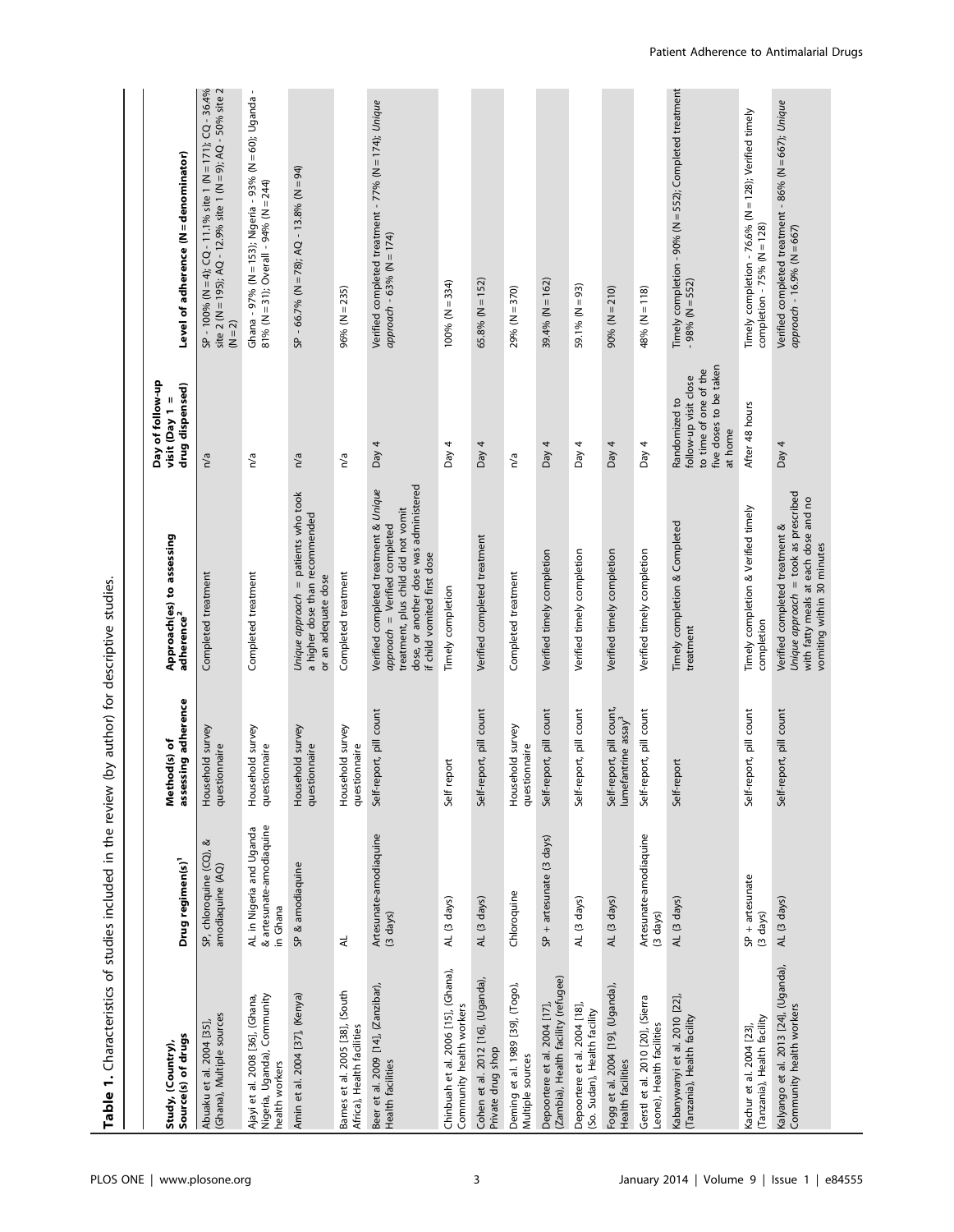| Source(s) of drugs<br>Study, (Country),                                          | Drug regimen(s) <sup>1</sup>                                     | assessing adherence<br>Method(s) of                         | Approach(es) to assessing<br>adherence <sup>2</sup>                                                                                                                                    | Day of follow-up<br>drug dispensed)<br>visit (Day $1 =$                                              | Level of adherence (N = denominator)                                                                                                          |
|----------------------------------------------------------------------------------|------------------------------------------------------------------|-------------------------------------------------------------|----------------------------------------------------------------------------------------------------------------------------------------------------------------------------------------|------------------------------------------------------------------------------------------------------|-----------------------------------------------------------------------------------------------------------------------------------------------|
| (Ghana), Multiple sources<br>Abuaku et al. 2004 [35],                            | ⊗<br>SP, chloroquine (CQ),<br>amodiaquine (AQ)                   | Household survey<br>questionnaire                           | Completed treatment                                                                                                                                                                    | n/a                                                                                                  | $SP - 100%$ (N = 4); $CQ - 11.1%$ site 1 (N = 171); $CQ - 36.4%$<br>site 2 (N = 195); AQ - 12.9% site 1 (N = 9); AQ - 50% site 2<br>$(N = 2)$ |
| Ajayi et al. 2008 [36], (Ghana,<br>Nigeria, Uganda), Community<br>health workers | & artesunate-amodiaquine<br>AL in Nigeria and Uganda<br>in Ghana | Household survey<br>questionnaire                           | Completed treatment                                                                                                                                                                    | n/a                                                                                                  | Ghana - 97% (N = 153); Nigeria - 93% (N = 60); Uganda -<br>81% (N = 31); Overall - 94% (N = 244)                                              |
| Amin et al. 2004 [37], (Kenya)                                                   | SP & amodiaquine                                                 | Household survey<br>questionnaire                           | Unique approach = patients who took<br>a higher dose than recommended<br>or an adequate dose                                                                                           | n/a                                                                                                  | $SP - 66.7\%$ (N = 78); AQ - 13.8% (N = 94)                                                                                                   |
| Barnes et al. 2005 [38], (South<br>Africa), Health facilities                    | $\preccurlyeq$                                                   | Household survey<br>questionnaire                           | Completed treatment                                                                                                                                                                    | n/a                                                                                                  | 96% (N = 235)                                                                                                                                 |
| Beer et al. 2009 [14], (Zanzibar),<br>Health facilities                          | Artesunate-amodiaquine<br>(3 days)                               | Self-report, pill count                                     | dose, or another dose was administered<br>Verified completed treatment & Unique<br>treatment, plus child did not vomit<br>approach = Verified completed<br>if child vomited first dose | Day 4                                                                                                | Verified completed treatment - 77% (N = 174); Unique<br>$approach - 63% (N = 174)$                                                            |
| Chinbuah et al. 2006 [15], (Ghana),<br>Community health workers                  | AL (3 days)                                                      | report<br>Self                                              | Timely completion                                                                                                                                                                      | Day $4$                                                                                              | $100% (N = 334)$                                                                                                                              |
| Cohen et al. 2012 [16], (Uganda),<br>Private drug shop                           | AL (3 days)                                                      | Self-report, pill count                                     | Verified completed treatment                                                                                                                                                           | Day 4                                                                                                | 65.8% (N = 152)                                                                                                                               |
| Deming et al. 1989 [39], (Togo),<br>Multiple sources                             | Chloroquine                                                      | Household survey<br>questionnaire                           | Completed treatment                                                                                                                                                                    | n/a                                                                                                  | 29% (N = 370)                                                                                                                                 |
| (Zambia), Health facility (refugee)<br>Depoortere et al. 2004 [17],              | SP + artesunate (3 days)                                         | Self-report, pill count                                     | Verified timely completion                                                                                                                                                             | Day 4                                                                                                | 39.4% (N = 162)                                                                                                                               |
| Depoortere et al. 2004 [18],<br>(So. Sudan), Health facility                     | AL (3 days)                                                      | Self-report, pill count                                     | Verified timely completion                                                                                                                                                             | Day $4$                                                                                              | 59.1% (N = 93)                                                                                                                                |
| Fogg et al. 2004 [19], (Uganda),<br>Health facilities                            | AL (3 days)                                                      | Self-report, pill count,<br>lumefantrine assay <sup>3</sup> | Verified timely completion                                                                                                                                                             | Day $4$                                                                                              | $90% (N = 210)$                                                                                                                               |
| Gerstl et al. 2010 [20], (Sierra<br>Leone), Health facilities                    | Artesunate-amodiaquine<br>$(3 \text{ days})$                     | Self-report, pill count                                     | Verified timely completion                                                                                                                                                             | Day 4                                                                                                | 48% (N = 118)                                                                                                                                 |
| Kabanywanyi et al. 2010 [22],<br>(Tanzania), Health facility                     | AL (3 days)                                                      | Self-report                                                 | Timely completion & Completed<br>treatment                                                                                                                                             | five doses to be taken<br>to time of one of the<br>follow-up visit close<br>Randomized to<br>at home | Timely completion - 90% (N = 552); Completed treatment<br>$-98%$ (N = 552)                                                                    |
| (Tanzania), Health facility<br>Kachur et al. 2004 [23],                          | $SP + arcsum$<br>$(3 \text{ days})$                              | Self-report, pill count                                     | Timely completion & Verified timely<br>completion                                                                                                                                      | After 48 hours                                                                                       | Timely completion - 76.6% (N = 128); Verified timely<br>completion - $75%$ (N = 128)                                                          |
| Kalyango et al. 2013 [24], (Uganda),<br>Community health workers                 | AL (3 days)                                                      | Self-report, pill count                                     | Unique approach = took as prescribed<br>with fatty meals at each dose and no<br>Verified completed treatment &<br>vomiting within 30 minutes                                           | Day 4                                                                                                | Verified completed treatment - 86% (N = 667); Unique<br>approach - 16.9% (N = 667)                                                            |

Table 1. Characteristics of studies included in the review (by author) for descriptive studies. Table 1. Characteristics of studies included in the review (by author) for descriptive studies.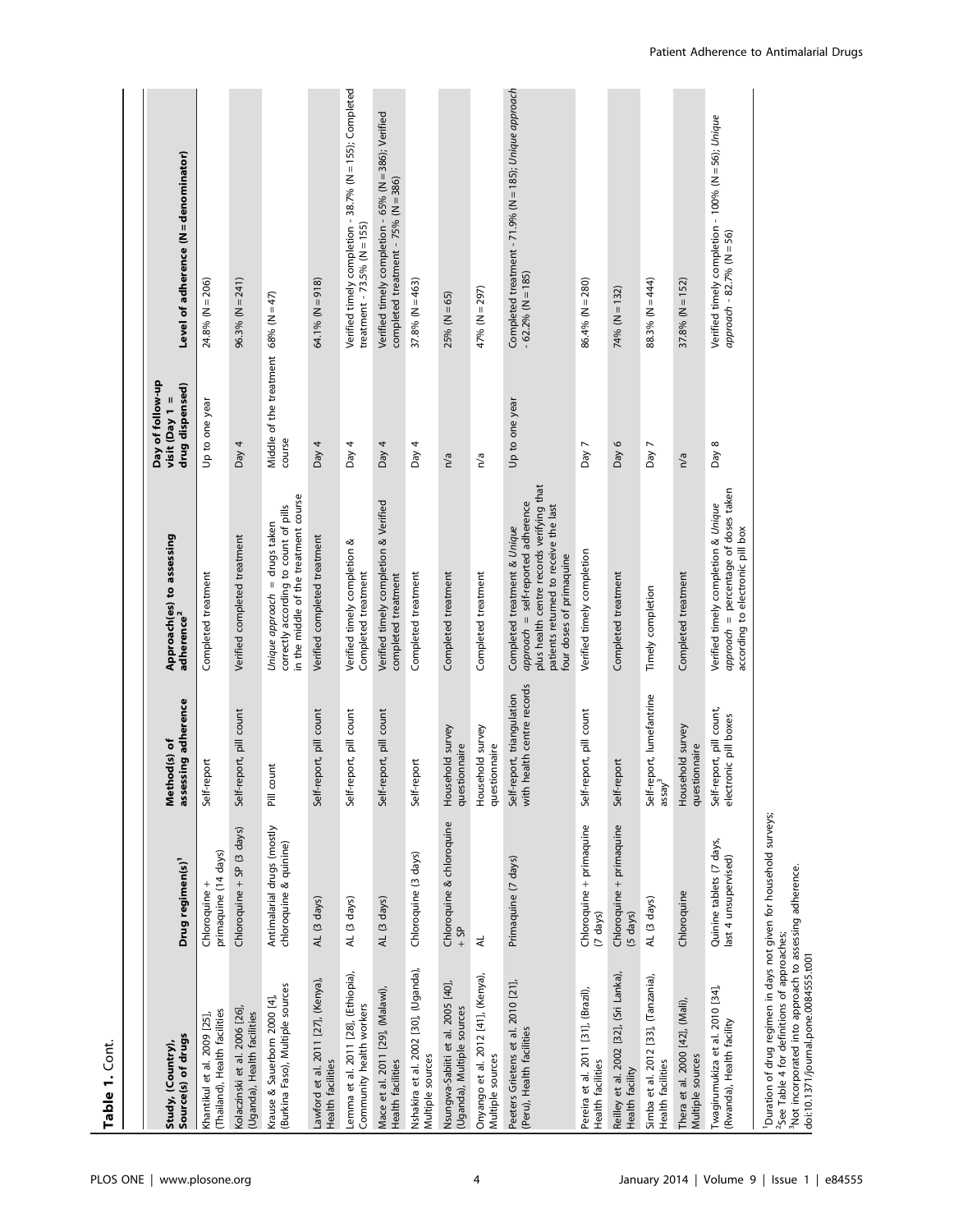| Table 1. Cont.                                                                                                                                                                                                                                            |                                                      |                                                             |                                                                                                                                                                                      |                                                         |                                                                                             |
|-----------------------------------------------------------------------------------------------------------------------------------------------------------------------------------------------------------------------------------------------------------|------------------------------------------------------|-------------------------------------------------------------|--------------------------------------------------------------------------------------------------------------------------------------------------------------------------------------|---------------------------------------------------------|---------------------------------------------------------------------------------------------|
| Source(s) of drugs<br>Study, (Country),                                                                                                                                                                                                                   | Drug regimen(s) <sup>1</sup>                         | assessing adherence<br>Method(s) of                         | Approach(es) to assessing<br>adherence <sup>2</sup>                                                                                                                                  | Day of follow-up<br>drug dispensed)<br>visit (Day $1 =$ | Level of adherence (N = denominator)                                                        |
| (Thailand), Health facilities<br>Khantikul et al. 2009 [25],                                                                                                                                                                                              | primaquine (14 days)<br>Chloroquine +                | -report<br>Self-                                            | Completed treatment                                                                                                                                                                  | Up to one year                                          | $24.8%$ (N = 206)                                                                           |
| Kolaczinski et al. 2006 [26],<br>(Uganda), Health facilities                                                                                                                                                                                              | Chloroquine + SP (3 days)                            | report, pill count<br>Self-                                 | Verified completed treatment                                                                                                                                                         | Day $4$                                                 | $96.3\% (N = 241)$                                                                          |
| (Burkina Faso), Multiple sources<br>Krause & Sauerborn 2000 [4],                                                                                                                                                                                          | Antimalarial drugs (mostly<br>chloroquine & quinine) | count<br>$\overline{\overline{a}}$                          | in the middle of the treatment course<br>correctly according to count of pills<br>Unique approach = drugs taken                                                                      | Middle of the treatment 68% ( $N = 47$ )<br>course      |                                                                                             |
| Lawford et al. 2011 [27], (Kenya),<br>Health facilities                                                                                                                                                                                                   | AL (3 days)                                          | Self-report, pill count                                     | Verified completed treatment                                                                                                                                                         | Day $4$                                                 | $64.1\%$ (N = 918)                                                                          |
| Lemma et al. 2011 [28], (Ethiopia),<br>Community health workers                                                                                                                                                                                           | AL (3 days)                                          | Self-report, pill count                                     | Verified timely completion &<br>Completed treatment                                                                                                                                  | Day 4                                                   | Verified timely completion - 38.7% (N = 155); Completed<br>treatment - $73.5\%$ (N = 155)   |
| Mace et al. 2011 [29], (Malawi),<br>Health facilities                                                                                                                                                                                                     | AL (3 days)                                          | Self-report, pill count                                     | Verified timely completion & Verified<br>completed treatment                                                                                                                         | Day $4$                                                 | Verified timely completion - 65% (N = 386); Verified<br>completed treatment - 75% (N = 386) |
| Nshakira et al. 2002 [30], (Uganda),<br>Multiple sources                                                                                                                                                                                                  | Chloroquine (3 days)                                 | -report<br>Self-                                            | Completed treatment                                                                                                                                                                  | Day 4                                                   | 37.8% (N = 463)                                                                             |
| Nsungwa-Sabiiti et al. 2005 [40],<br>(Uganda), Multiple sources                                                                                                                                                                                           | Chloroquine & chloroquine<br>$-5P$                   | Household survey<br>questionnaire                           | Completed treatment                                                                                                                                                                  | n/a                                                     | $25% (N = 65)$                                                                              |
| Onyango et al. 2012 [41], (Kenya),<br>Multiple sources                                                                                                                                                                                                    | ₹                                                    | Household survey<br>questionnaire                           | Completed treatment                                                                                                                                                                  | n/a                                                     | 47% (N = 297)                                                                               |
| Peeters Grietens et al. 2010 [21],<br>(Peru), Health facilities                                                                                                                                                                                           | Primaquine (7 days)                                  | health centre records<br>Self-report, triangulation<br>with | plus health centre records verifying that<br>approach = self-reported adherence<br>patients returned to receive the last<br>Completed treatment & Unique<br>four doses of primaquine | Up to one year                                          | Completed treatment - 71.9% (N = 185); Unique approach<br>$-62.2\% (N = 185)$               |
| Pereira et al. 2011 [31], (Brazil),<br>Health facilities                                                                                                                                                                                                  | Chloroquine + primaquine<br>$(7 \text{ days})$       | Self-report, pill count                                     | Verified timely completion                                                                                                                                                           | Day 7                                                   | $86.4%$ (N = 280)                                                                           |
| Reilley et al. 2002 [32], (Sri Lanka),<br>Health facility                                                                                                                                                                                                 | Chloroquine + primaquine<br>$(5 \text{ days})$       | Self-report                                                 | Completed treatment                                                                                                                                                                  | Day 6                                                   | $74\% (N = 132)$                                                                            |
| Simba et al. 2012 [33], (Tanzania),<br>Health facilities                                                                                                                                                                                                  | AL (3 days)                                          | Self-report, lumefantrine<br>assay <sup>3</sup>             | Timely completion                                                                                                                                                                    | Day 7                                                   | 88.3% (N = 444)                                                                             |
| Thera et al. 2000 [42], (Mali),<br>Multiple sources                                                                                                                                                                                                       | Chloroquine                                          | Household survey<br>questionnaire                           | Completed treatment                                                                                                                                                                  | n/a                                                     | $37.8%$ (N = 152)                                                                           |
| Twagirumukiza et al. 2010 [34],<br>(Rwanda), Health facility                                                                                                                                                                                              | Quinine tablets (7 days,<br>last 4 unsupervised)     | Self-report, pill count,<br>electronic pill boxes           | approach = percentage of doses taken<br>Verified timely completion & Unique<br>according to electronic pill box                                                                      | Day 8                                                   | Verified timely completion - 100% (N = 56); Unique<br>$approach - 82.7% (N = 56)$           |
| <sup>1</sup> Duration of drug regimen in days not given for household surveys;<br><sup>3</sup> Not incorporated into approach to assessing adherence.<br><sup>2</sup> See Table 4 for definitions of approaches;<br>doi:10.1371/journal.pone.0084555.t001 |                                                      |                                                             |                                                                                                                                                                                      |                                                         |                                                                                             |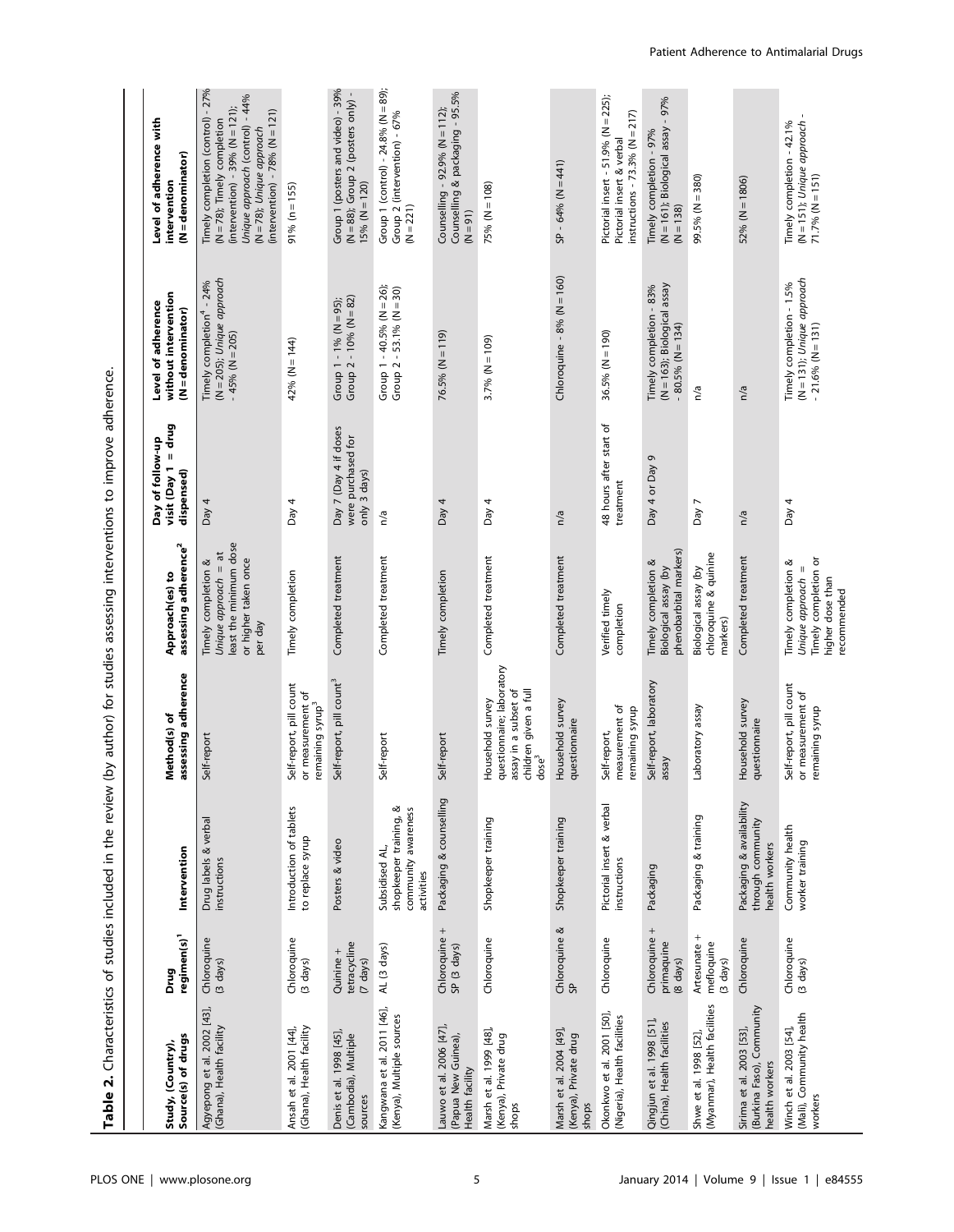| l                               |  |
|---------------------------------|--|
|                                 |  |
| ׅ֘֒                             |  |
| ١<br>١                          |  |
| i                               |  |
| į                               |  |
|                                 |  |
|                                 |  |
|                                 |  |
|                                 |  |
| ť<br>ı<br>¢<br>٦<br>ׇ֚֡֡֡֡<br>l |  |

| Source(s) of drugs<br>Study, (Country),                                 | regimen(s) <sup>1</sup><br>Drug                  | Intervention                                                                     | assessing adherence<br>Method(s) of                                                                                 | assessing adherence <sup>2</sup><br>Approach(es) to                                                      | $visit$ (Day $1 = drug$<br>Day of follow-up<br>dispensed)   | without intervention<br>Level of adherence<br>$(N =$ denominator)                      | Level of adherence with<br>$(N =$ denominator)<br>intervention                                                                                                                                                |
|-------------------------------------------------------------------------|--------------------------------------------------|----------------------------------------------------------------------------------|---------------------------------------------------------------------------------------------------------------------|----------------------------------------------------------------------------------------------------------|-------------------------------------------------------------|----------------------------------------------------------------------------------------|---------------------------------------------------------------------------------------------------------------------------------------------------------------------------------------------------------------|
| Agyepong et al. 2002 [43],<br>(Ghana), Health facility                  | Chloroquine<br>$(3 \text{ days})$                | Drug labels & verbal<br>instructions                                             | Self-report                                                                                                         | least the minimum dose<br>Unique approach = at<br>or higher taken once<br>Timely completion &<br>per day | Day $4$                                                     | (N = 205); Unique approach<br>Timely completion <sup>4</sup> - 24%<br>$-45%$ (N = 205) | Timely completion (control) - 27%<br>Unique approach (control) - 44%<br>(intervention) - 39% (N = 121);<br>(intervention) - $78%$ (N = 121)<br>$(N = 78)$ ; Timely completion<br>$(N = 78)$ ; Unique approach |
| (Ghana), Health facility<br>Ansah et al. 2001 [44],                     | Chloroquine<br>(3 days)                          | Introduction of tablets<br>to replace syrup                                      | Self-report, pill count<br>or measurement of<br>remaining syrup <sup>3</sup>                                        | Timely completion                                                                                        | Day 4                                                       | 42% (N = 144)                                                                          | $91\% (n = 155)$                                                                                                                                                                                              |
| Denis et al. 1998 [45]<br>(Cambodia), Multiple<br>sources               | tetracycline<br>Quinine +<br>$(7 \text{ days})$  | Posters & video                                                                  | Self-report, pill count <sup>3</sup>                                                                                | Completed treatment                                                                                      | Day 7 (Day 4 if doses<br>were purchased for<br>only 3 days) | Group 1 - 1% (N = 95);<br>Group 2 - 10% (N = 82)                                       | Group 1 (posters and video) - 39%<br>$(N = 88)$ ; Group 2 (posters only)<br>$15% (N = 120)$                                                                                                                   |
| Kangwana et al. 2011 [46],<br>(Kenya), Multiple sources                 | AL (3 days)                                      | ≪<br>community awareness<br>shopkeeper training,<br>Subsidised AL,<br>activities | Self-report                                                                                                         | Completed treatment                                                                                      | n/a                                                         | Group $1 - 40.5\%$ (N = 26);<br>Group $2 - 53.1\%$ (N = 30)                            | Group 1 (control) - 24.8% ( $N = 89$ );<br>Group 2 (intervention) - 67%<br>$(N = 221)$                                                                                                                        |
| Lauwo et al. 2006 [47],<br>(Papua New Guinea),<br>Health facility       | Chloroquine +<br>SP (3 days)                     | Packaging & counselling                                                          | Self-report                                                                                                         | Timely completion                                                                                        | Day $4$                                                     | $76.5\% (N = 119)$                                                                     | Counselling & packaging - 95.5%<br>Counselling - 92.9% (N = 112);<br>$(N = 91)$                                                                                                                               |
| Marsh et al. 1999 [48],<br>(Kenya), Private drug<br>shops               | Chloroquine                                      | Shopkeeper training                                                              | questionnaire; laboratory<br>children given a full<br>assay in a subset of<br>Household survey<br>dose <sup>3</sup> | Completed treatment                                                                                      | Day $4$                                                     | 3.7% ( $N = 109$ )                                                                     | $75% (N = 108)$                                                                                                                                                                                               |
| Marsh et al. 2004 [49]<br>(Kenya), Private drug<br>shops                | Chloroquine &<br>SP.                             | Shopkeeper training                                                              | Household survey<br>questionnaire                                                                                   | Completed treatment                                                                                      | n/a                                                         | Chloroquine - $8%$ (N = 160)                                                           | $SP - 64% (N = 441)$                                                                                                                                                                                          |
| Okonkwo et al. 2001 [50],<br>(Nigeria), Health facilities               | Chloroquine                                      | Pictorial insert & verbal<br>instructions                                        | measurement of<br>remaining syrup<br>Self-report,                                                                   | Verified timely<br>completion                                                                            | 48 hours after start of<br>treatment                        | $36.5\% (N = 190)$                                                                     | Pictorial insert - 51.9% (N = 225);<br>instructions - 73.3% ( $N = 217$ )<br>Pictorial insert & verbal                                                                                                        |
| Qingjun et al. 1998 [51],<br>(China), Health facilities                 | Chloroquine +<br>primaquine<br>(8 days)          | Packaging                                                                        | Self-report, laboratory<br>assay                                                                                    | phenobarbital markers)<br>Timely completion &<br>Biological assay (by                                    | Day 4 or Day 9                                              | (N = 163); Biological assay<br>Timely completion - 83%<br>$-80.5\%$ (N = 134)          | (N = 161); Biological assay - 97%<br>Timely completion - 97%<br>$(N = 138)$                                                                                                                                   |
| (Myanmar), Health facilities<br>Shwe et al. 1998 [52],                  | Artesunate +<br>mefloquine<br>$(3 \text{ days})$ | Packaging & training                                                             | Laboratory assay                                                                                                    | chloroquine & quinine<br>Biological assay (by<br>markers)                                                | Day 7                                                       | n/a                                                                                    | 99.5% (N = 380)                                                                                                                                                                                               |
| (Burkina Faso), Community<br>Sirima et al. 2003 [53],<br>health workers | Chloroquine                                      | Packaging & availability<br>through community<br>health workers                  | Household survey<br>questionnaire                                                                                   | Completed treatment                                                                                      | n/a                                                         | n/a                                                                                    | $52% (N = 1806)$                                                                                                                                                                                              |
| (Mali), Community health<br>Winch et al. 2003 [54],<br>workers          | Chloroquine<br>(3 days)                          | Community health<br>worker training                                              | Self-report, pill count<br>or measurement of<br>remaining syrup                                                     | Timely completion or<br>Timely completion &<br>Unique approach =<br>higher dose than<br>recommended      | Day 4                                                       | (N = 131); Unique approach<br>Timely completion - 1.5%<br>$-21.6\% (N = 131)$          | $(N = 151)$ ; Unique approach<br>Timely completion - 42.1%<br>$71.7\% (N = 151)$                                                                                                                              |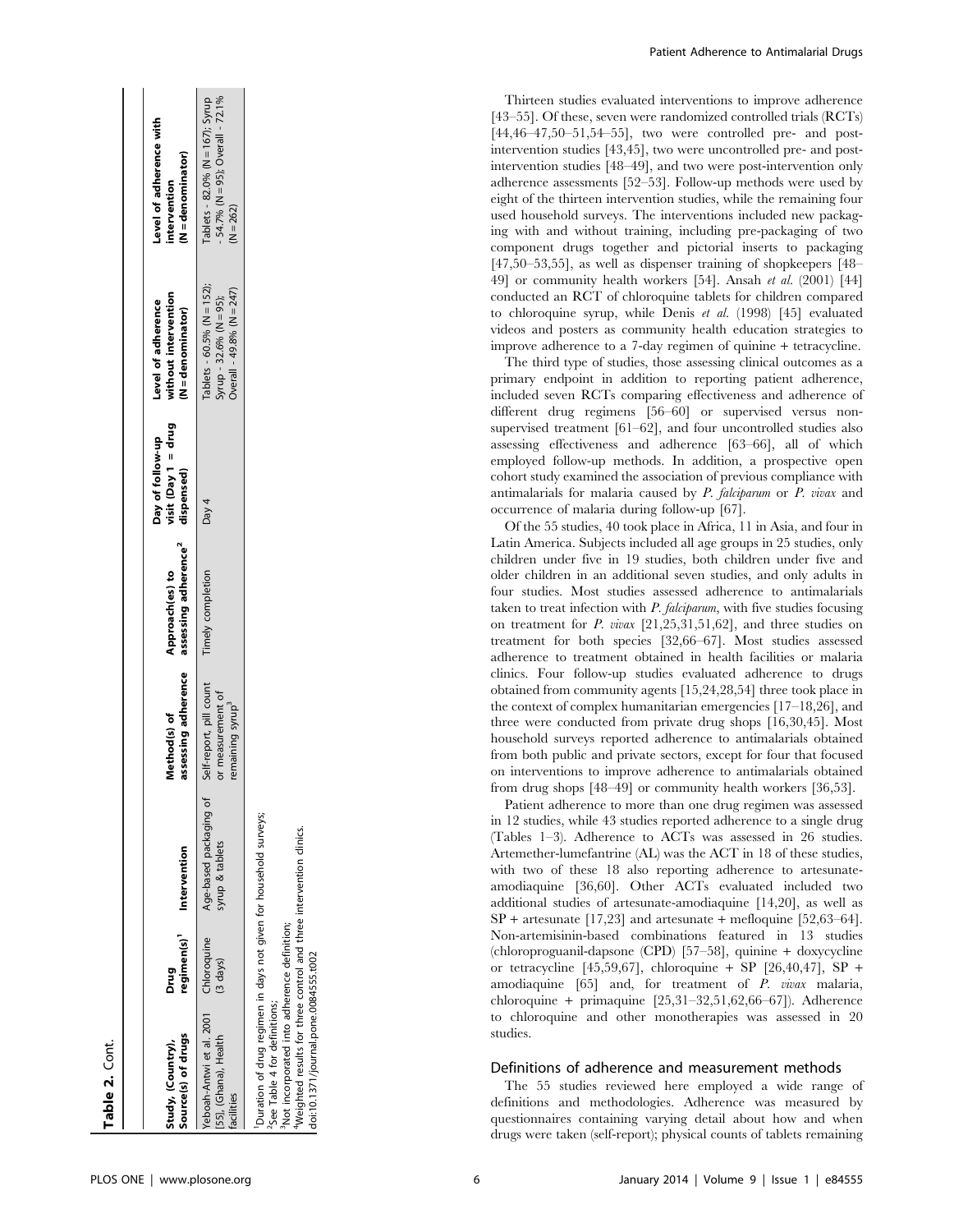| Source(s) of drugs<br>Study, (Country),                                                                                                                                                                                                                                       | regimen(s) <sup>1</sup><br>Drug | Intervention                              | assessing adherence<br>Method(s) of                                          | assessing adherence <sup>2</sup><br>Approach(es) to | $vist (Day 1 = drug$<br>Day of follow-up<br>dispensed) | without intervention<br>Level of adherence<br>N = denominator)                            | Level of adherence with<br>N = denominator)<br>intervention                            |
|-------------------------------------------------------------------------------------------------------------------------------------------------------------------------------------------------------------------------------------------------------------------------------|---------------------------------|-------------------------------------------|------------------------------------------------------------------------------|-----------------------------------------------------|--------------------------------------------------------|-------------------------------------------------------------------------------------------|----------------------------------------------------------------------------------------|
| Yeboah-Antwi et al. 2001 Chloroquine<br>[55], (Ghana), Health<br>facilities                                                                                                                                                                                                   | (3 days)                        | Age-based packaging of<br>syrup & tablets | Self-report, pill count<br>or measurement of<br>remaining syrup <sup>3</sup> | Timely completion                                   | Day 4                                                  | $Tablets - 60.5\% (N = 152);$<br>Overall - 49.8% (N = 247)<br>Syrup - 32.6% ( $N = 95$ ); | - 54.7% (N = 95); Overall - 72.1%<br>$Tablets - 82.0% (N = 167);$ Syrup<br>$(N = 262)$ |
| Duration of drug regimen in days not given for household surveys;<br>4Weighted results for three control and three intervention clinics.<br>Not incorporated into adherence definition;<br>doi:10.1371/journal.pone.0084555.t002<br><sup>2</sup> See Table 4 for definitions; |                                 |                                           |                                                                              |                                                     |                                                        |                                                                                           |                                                                                        |

Thirteen studies evaluated interventions to improve adherence [43–55]. Of these, seven were randomized controlled trials (RCTs) [44,46–47,50–51,54–55], two were controlled pre- and postintervention studies [43,45], two were uncontrolled pre- and postintervention studies [48–49], and two were post-intervention only adherence assessments [52–53]. Follow-up methods were used by eight of the thirteen intervention studies, while the remaining four used household surveys. The interventions included new packaging with and without training, including pre-packaging of two component drugs together and pictorial inserts to packaging [47,50–53,55], as well as dispenser training of shopkeepers [48– 49] or community health workers [54]. Ansah et al. (2001) [44] conducted an RCT of chloroquine tablets for children compared to chloroquine syrup, while Denis et al. (1998) [45] evaluated videos and posters as community health education strategies to improve adherence to a 7-day regimen of quinine + tetracycline.

The third type of studies, those assessing clinical outcomes as a primary endpoint in addition to reporting patient adherence, included seven RCTs comparing effectiveness and adherence of different drug regimens [56–60] or supervised versus nonsupervised treatment [61–62], and four uncontrolled studies also assessing effectiveness and adherence [63–66], all of which employed follow-up methods. In addition, a prospective open cohort study examined the association of previous compliance with antimalarials for malaria caused by P. falciparum or P. vivax and occurrence of malaria during follow-up [67].

Of the 55 studies, 40 took place in Africa, 11 in Asia, and four in Latin America. Subjects included all age groups in 25 studies, only children under five in 19 studies, both children under five and older children in an additional seven studies, and only adults in four studies. Most studies assessed adherence to antimalarials taken to treat infection with  $P$ . falciparum, with five studies focusing on treatment for P. vivax [21,25,31,51,62], and three studies on treatment for both species [32,66–67]. Most studies assessed adherence to treatment obtained in health facilities or malaria clinics. Four follow-up studies evaluated adherence to drugs obtained from community agents [15,24,28,54] three took place in the context of complex humanitarian emergencies [17–18,26], and three were conducted from private drug shops [16,30,45]. Most household surveys reported adherence to antimalarials obtained from both public and private sectors, except for four that focused on interventions to improve adherence to antimalarials obtained from drug shops [48–49] or community health workers [36,53].

Patient adherence to more than one drug regimen was assessed in 12 studies, while 43 studies reported adherence to a single drug (Tables 1–3). Adherence to ACTs was assessed in 26 studies. Artemether-lumefantrine (AL) was the ACT in 18 of these studies, with two of these 18 also reporting adherence to artesunateamodiaquine [36,60]. Other ACTs evaluated included two additional studies of artesunate-amodiaquine [14,20], as well as  $SP +$  artesunate [17,23] and artesunate + mefloquine [52,63–64]. Non-artemisinin-based combinations featured in 13 studies (chloroproguanil-dapsone (CPD) [57–58], quinine + doxycycline or tetracycline [45,59,67], chloroquine + SP [26,40,47], SP + amodiaquine [65] and, for treatment of P. vivax malaria, chloroquine + primaquine [25,31–32,51,62,66–67]). Adherence to chloroquine and other monotherapies was assessed in 20 studies.

## Definitions of adherence and measurement methods

The 55 studies reviewed here employed a wide range of definitions and methodologies. Adherence was measured by questionnaires containing varying detail about how and when drugs were taken (self-report); physical counts of tablets remaining

Table 2. Cont.

Table 2. Cont.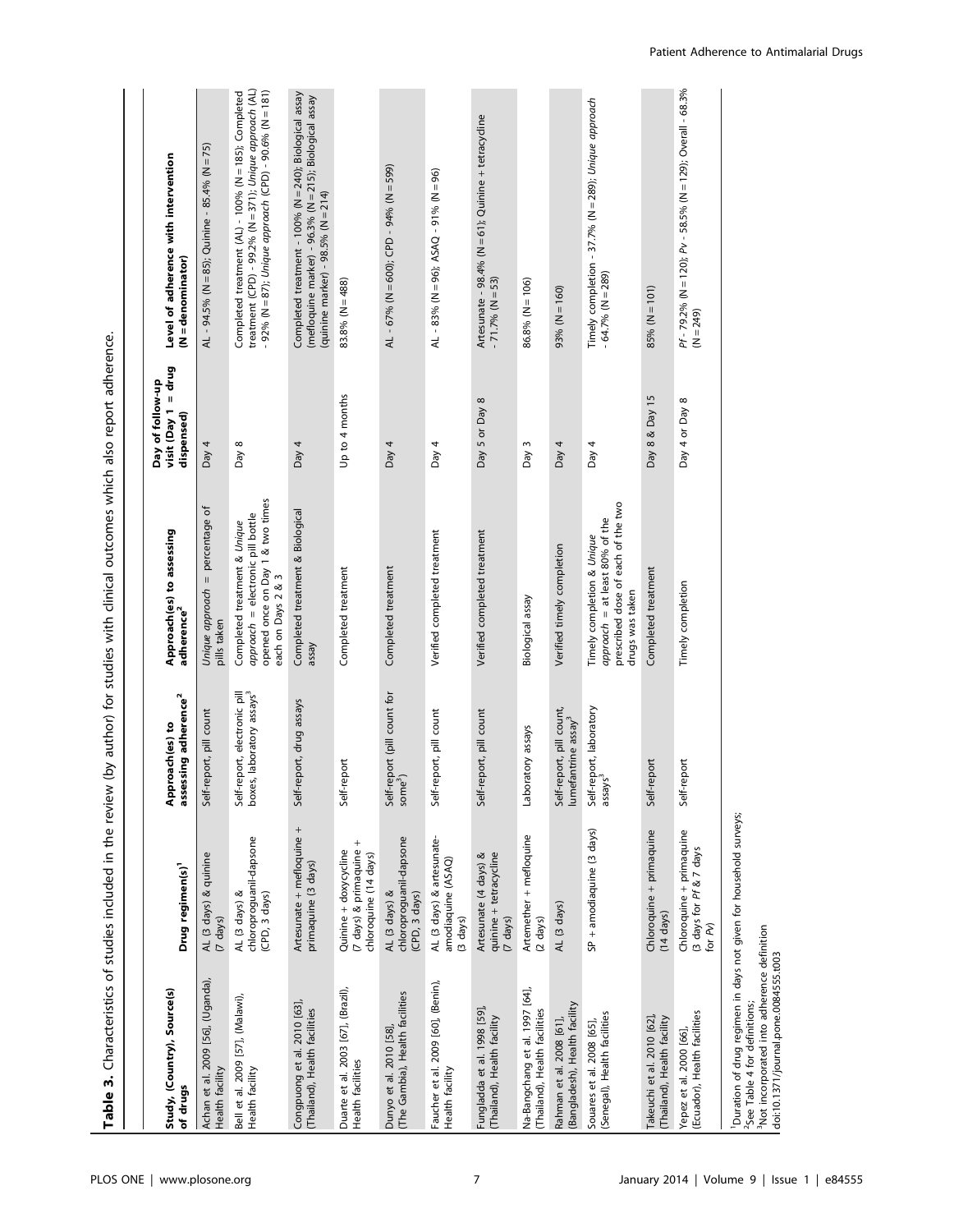| Study, (Country), Source(s)<br>of drugs                         | Drug regimen(s) <sup>1</sup>                                                      | assessing adherence <sup>2</sup><br>roach(es) to<br>Appr              | Approach(es) to assessing<br>adherence <sup>2</sup>                                                                         | visit $(Day 1 = drug$<br>Day of follow-up<br>dispensed) | Level of adherence with intervention<br>$(N = denominator)$                                                                                                                |
|-----------------------------------------------------------------|-----------------------------------------------------------------------------------|-----------------------------------------------------------------------|-----------------------------------------------------------------------------------------------------------------------------|---------------------------------------------------------|----------------------------------------------------------------------------------------------------------------------------------------------------------------------------|
| Achan et al. 2009 [56], (Uganda),<br>Health facility            | AL (3 days) & quinine<br>(7 days)                                                 | Self-report, pill count                                               | Unique approach = percentage of<br>pills taken                                                                              | Day 4                                                   | AL - 94.5% (N = 85); Quinine - 85.4% (N = 75)                                                                                                                              |
| Bell et al. 2009 [57], (Malawi),<br>Health facility             | chloroproguanil-dapsone<br>AL (3 days) &<br>(CPD, 3 days)                         | Self-report, electronic pill<br>boxes, laboratory assays <sup>3</sup> | opened once on Day 1 & two times<br>approach = electronic pill bottle<br>Completed treatment & Unique<br>each on Days 2 & 3 | Day 8                                                   | treatment (CPD) - 99.2% (N = 371); Unique approach (AL)<br>- 92% (N = 87); Unique approach (CPD) - 90.6% (N = 181)<br>Completed treatment (AL) - 100% (N = 185); Completed |
| Congpuong et al. 2010 [63],<br>(Thailand), Health facilities    | Artesunate + mefloquine +<br>primaquine (3 days)                                  | Self-report, drug assays                                              | Completed treatment & Biological<br>assay                                                                                   | Day 4                                                   | Completed treatment - 100% (N = 240); Biological assay<br>(mefloquine marker) - 96.3% (N = 215); Biological assay<br>(quinine marker) - $98.5\%$ (N = 214)                 |
| Duarte et al. 2003 [67], (Brazil),<br>Health facilities         | $^{+}$<br>(7 days) & primaquine<br>Quinine + doxycycline<br>chloroquine (14 days) | Self-report                                                           | Completed treatment                                                                                                         | Up to 4 months                                          | 83.8% $(N = 488)$                                                                                                                                                          |
| (The Gambia), Health facilities<br>Dunyo et al. 2010 [58],      | chloroproguanil-dapsone<br>AL (3 days) &<br>(CPD, 3 days)                         | Self-report (pill count for<br>some <sup>3</sup> )                    | Completed treatment                                                                                                         | Day $4$                                                 | AL - 67% (N = 600); CPD - 94% (N = 599)                                                                                                                                    |
| Faucher et al. 2009 [60], (Benin),<br>Health facility           | AL (3 days) & artesunate-<br>amodiaquine (ASAQ)<br>(3 days)                       | Self-report, pill count                                               | Verified completed treatment                                                                                                | Day 4                                                   | AL - 83% (N = 96); ASAQ - 91% (N = 96)                                                                                                                                     |
| Fungladda et al. 1998 [59]<br>(Thailand), Health facility       | quinine + tetracycline<br>Artesunate (4 days) &<br>(7 days)                       | eport, pill count<br>Self-r                                           | Verified completed treatment                                                                                                | Day 5 or Day 8                                          | Artesunate - 98.4% (N = 61); Quinine + tetracycline<br>$-71.7%$ (N = 53)                                                                                                   |
| Na-Bangchang et al. 1997 [64],<br>(Thailand), Health facilities | Artemether + mefloquine<br>$(2 \text{ days})$                                     | Laboratory assays                                                     | Biological assay                                                                                                            | Day 3                                                   | $86.8% (N = 106)$                                                                                                                                                          |
| (Bangladesh), Health facility<br>Rahman et al. 2008 [61]        | AL (3 days)                                                                       | Self-report, pill count,<br>lumefantrine assay <sup>3</sup>           | Verified timely completion                                                                                                  | Day $4$                                                 | $(091 = N)$ % (93                                                                                                                                                          |
| (Senegal), Health facilities<br>Souares et al. 2008 [65]        | SP + amodiaquine (3 days)                                                         | Self-report, laboratory<br>assays <sup>3</sup>                        | prescribed dose of each of the two<br>approach = at least 80% of the<br>Timely completion & Unique<br>drugs was taken       | Day $4$                                                 | Timely completion - 37.7% (N = 289); Unique approach<br>$-64.7%$ (N = 289)                                                                                                 |
| Takeuchi et al. 2010 [62],<br>(Thailand), Health facility       | Chloroquine + primaquine<br>$(14 \text{ days})$                                   | Self-report                                                           | Completed treatment                                                                                                         | Day 8 & Day 15                                          | $85% (N = 101)$                                                                                                                                                            |
| (Ecuador), Health facilities<br>Yepez et al. 2000 [66],         | Chloroquine + primaquine<br>3 days for Pf & 7 days<br>for Pv)                     | Self-report                                                           | Timely completion                                                                                                           | Day 4 or Day 8                                          | Pf - 79.2% (N = 120); Pv - 58.5% (N = 129); Overall - 68.3%<br>$(N = 249)$                                                                                                 |
|                                                                 |                                                                                   |                                                                       |                                                                                                                             |                                                         |                                                                                                                                                                            |

Table 3. Characteristics of studies included in the review (by author) for studies with clinical outcomes which also report adherence. Table 3. Characteristics of studies included in the review (by author) for studies with clinical outcomes which also report adherence.

<sup>1</sup>Duration of drug regimen in days not given for household surveys;<br><sup>2</sup>See Table 4 for definitions;<br><sup>3</sup>Not incorporated into adherence definition<br>Idoi:10.1371/journal.pone.0084555.t003 1Duration of drug regimen in days not given for household surveys; 3Not incorporated into adherence definition 2See Table 4 for definitions;

doi:10.1371/journal.pone.0084555.t003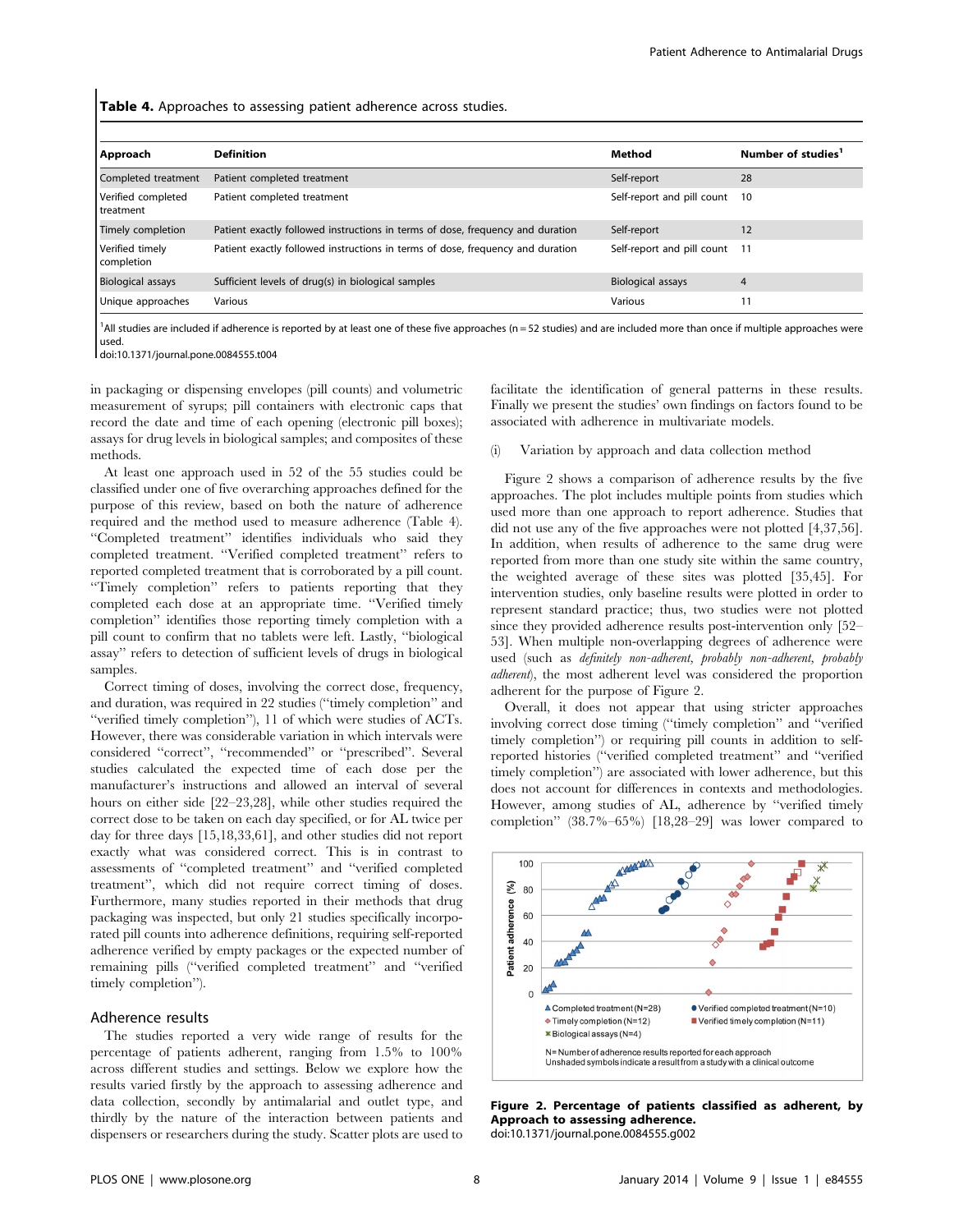Table 4. Approaches to assessing patient adherence across studies.

| Approach                          | <b>Definition</b>                                                              | Method                     | Number of studies <sup>1</sup> |
|-----------------------------------|--------------------------------------------------------------------------------|----------------------------|--------------------------------|
| Completed treatment               | Patient completed treatment                                                    | Self-report                | 28                             |
| Verified completed<br>I treatment | Patient completed treatment                                                    | Self-report and pill count | 10                             |
| Timely completion                 | Patient exactly followed instructions in terms of dose, frequency and duration | Self-report                | 12                             |
| Verified timely<br>completion     | Patient exactly followed instructions in terms of dose, frequency and duration | Self-report and pill count | 11                             |
| <b>Biological assays</b>          | Sufficient levels of drug(s) in biological samples                             | <b>Biological assays</b>   | 4                              |
| Unique approaches                 | Various                                                                        | Various                    | 11                             |

<sup>1</sup>All studies are included if adherence is reported by at least one of these five approaches (n = 52 studies) and are included more than once if multiple approaches were used.

doi:10.1371/journal.pone.0084555.t004

in packaging or dispensing envelopes (pill counts) and volumetric measurement of syrups; pill containers with electronic caps that record the date and time of each opening (electronic pill boxes); assays for drug levels in biological samples; and composites of these methods.

At least one approach used in 52 of the 55 studies could be classified under one of five overarching approaches defined for the purpose of this review, based on both the nature of adherence required and the method used to measure adherence (Table 4). ''Completed treatment'' identifies individuals who said they completed treatment. ''Verified completed treatment'' refers to reported completed treatment that is corroborated by a pill count. ''Timely completion'' refers to patients reporting that they completed each dose at an appropriate time. ''Verified timely completion'' identifies those reporting timely completion with a pill count to confirm that no tablets were left. Lastly, ''biological assay'' refers to detection of sufficient levels of drugs in biological samples.

Correct timing of doses, involving the correct dose, frequency, and duration, was required in 22 studies (''timely completion'' and ''verified timely completion''), 11 of which were studies of ACTs. However, there was considerable variation in which intervals were considered ''correct'', ''recommended'' or ''prescribed''. Several studies calculated the expected time of each dose per the manufacturer's instructions and allowed an interval of several hours on either side [22–23,28], while other studies required the correct dose to be taken on each day specified, or for AL twice per day for three days [15,18,33,61], and other studies did not report exactly what was considered correct. This is in contrast to assessments of ''completed treatment'' and ''verified completed treatment'', which did not require correct timing of doses. Furthermore, many studies reported in their methods that drug packaging was inspected, but only 21 studies specifically incorporated pill counts into adherence definitions, requiring self-reported adherence verified by empty packages or the expected number of remaining pills (''verified completed treatment'' and ''verified timely completion'').

# Adherence results

The studies reported a very wide range of results for the percentage of patients adherent, ranging from 1.5% to 100% across different studies and settings. Below we explore how the results varied firstly by the approach to assessing adherence and data collection, secondly by antimalarial and outlet type, and thirdly by the nature of the interaction between patients and dispensers or researchers during the study. Scatter plots are used to facilitate the identification of general patterns in these results. Finally we present the studies' own findings on factors found to be associated with adherence in multivariate models.

#### (i) Variation by approach and data collection method

Figure 2 shows a comparison of adherence results by the five approaches. The plot includes multiple points from studies which used more than one approach to report adherence. Studies that did not use any of the five approaches were not plotted [4,37,56]. In addition, when results of adherence to the same drug were reported from more than one study site within the same country, the weighted average of these sites was plotted [35,45]. For intervention studies, only baseline results were plotted in order to represent standard practice; thus, two studies were not plotted since they provided adherence results post-intervention only [52– 53]. When multiple non-overlapping degrees of adherence were used (such as definitely non-adherent, probably non-adherent, probably adherent), the most adherent level was considered the proportion adherent for the purpose of Figure 2.

Overall, it does not appear that using stricter approaches involving correct dose timing (''timely completion'' and ''verified timely completion'') or requiring pill counts in addition to selfreported histories (''verified completed treatment'' and ''verified timely completion'') are associated with lower adherence, but this does not account for differences in contexts and methodologies. However, among studies of AL, adherence by ''verified timely completion'' (38.7%–65%) [18,28–29] was lower compared to



Figure 2. Percentage of patients classified as adherent, by Approach to assessing adherence. doi:10.1371/journal.pone.0084555.g002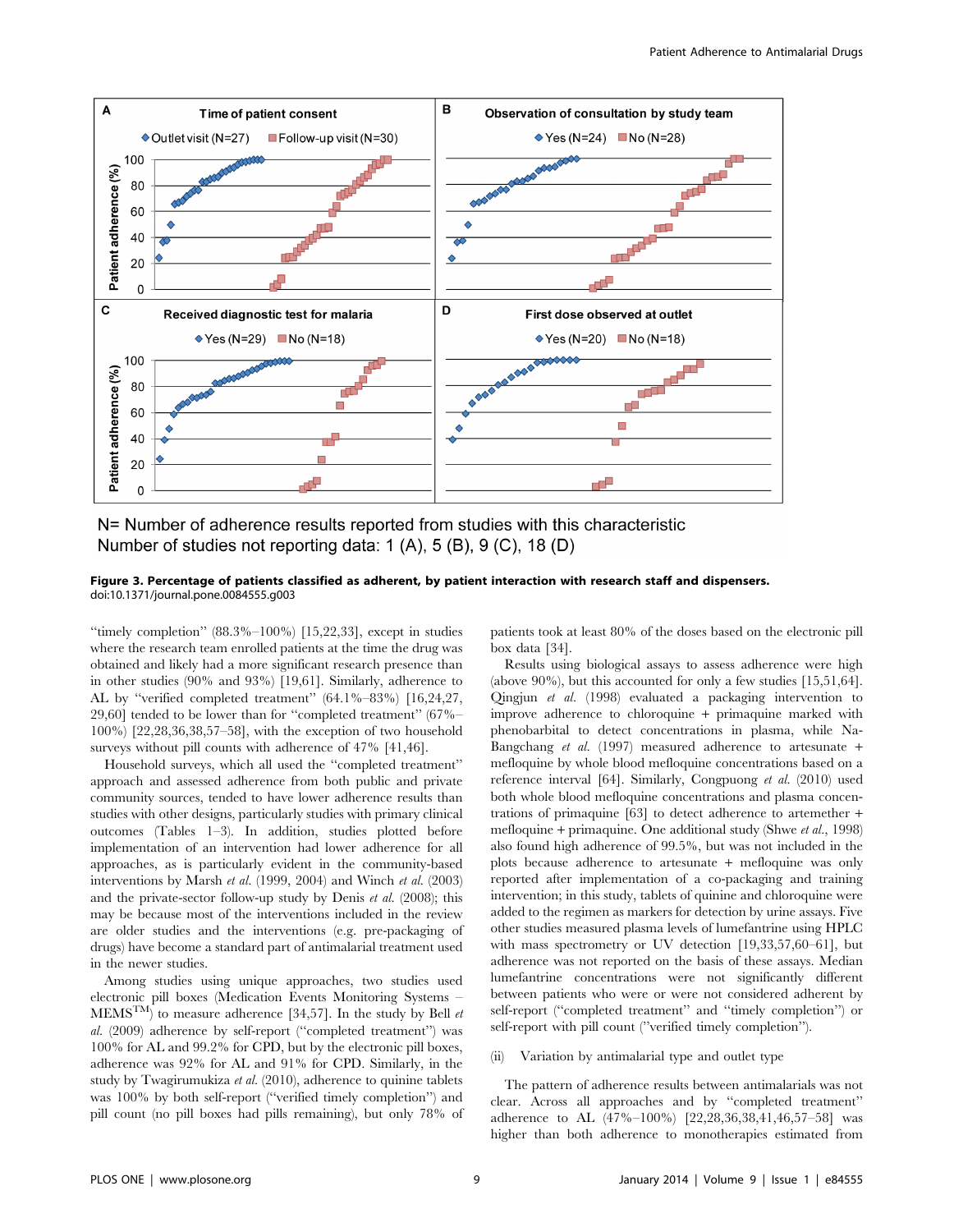

N= Number of adherence results reported from studies with this characteristic Number of studies not reporting data: 1 (A), 5 (B), 9 (C), 18 (D)

#### Figure 3. Percentage of patients classified as adherent, by patient interaction with research staff and dispensers. doi:10.1371/journal.pone.0084555.g003

"timely completion"  $(88.3\% - 100\%)$  [15,22,33], except in studies where the research team enrolled patients at the time the drug was obtained and likely had a more significant research presence than in other studies (90% and 93%) [19,61]. Similarly, adherence to AL by ''verified completed treatment'' (64.1%–83%) [16,24,27, 29,60] tended to be lower than for ''completed treatment'' (67%– 100%) [22,28,36,38,57–58], with the exception of two household surveys without pill counts with adherence of  $47\%$  [41,46].

Household surveys, which all used the ''completed treatment'' approach and assessed adherence from both public and private community sources, tended to have lower adherence results than studies with other designs, particularly studies with primary clinical outcomes (Tables 1–3). In addition, studies plotted before implementation of an intervention had lower adherence for all approaches, as is particularly evident in the community-based interventions by Marsh et al. (1999, 2004) and Winch et al. (2003) and the private-sector follow-up study by Denis et al. (2008); this may be because most of the interventions included in the review are older studies and the interventions (e.g. pre-packaging of drugs) have become a standard part of antimalarial treatment used in the newer studies.

Among studies using unique approaches, two studies used electronic pill boxes (Medication Events Monitoring Systems –  $\text{MEMS}^{\text{TM}}$  to measure adherence [34,57]. In the study by Bell  $et$ al. (2009) adherence by self-report (''completed treatment'') was 100% for AL and 99.2% for CPD, but by the electronic pill boxes, adherence was 92% for AL and 91% for CPD. Similarly, in the study by Twagirumukiza et al. (2010), adherence to quinine tablets was 100% by both self-report (''verified timely completion'') and pill count (no pill boxes had pills remaining), but only 78% of patients took at least 80% of the doses based on the electronic pill box data [34].

Results using biological assays to assess adherence were high (above 90%), but this accounted for only a few studies [15,51,64]. Qingjun et al. (1998) evaluated a packaging intervention to improve adherence to chloroquine + primaquine marked with phenobarbital to detect concentrations in plasma, while Na-Bangchang et al. (1997) measured adherence to artesunate + mefloquine by whole blood mefloquine concentrations based on a reference interval [64]. Similarly, Congpuong et al. (2010) used both whole blood mefloquine concentrations and plasma concentrations of primaquine [63] to detect adherence to artemether + mefloquine + primaquine. One additional study (Shwe *et al.*, 1998) also found high adherence of 99.5%, but was not included in the plots because adherence to artesunate + mefloquine was only reported after implementation of a co-packaging and training intervention; in this study, tablets of quinine and chloroquine were added to the regimen as markers for detection by urine assays. Five other studies measured plasma levels of lumefantrine using HPLC with mass spectrometry or UV detection  $[19,33,57,60–61]$ , but adherence was not reported on the basis of these assays. Median lumefantrine concentrations were not significantly different between patients who were or were not considered adherent by self-report (''completed treatment'' and ''timely completion'') or self-report with pill count (''verified timely completion'').

#### (ii) Variation by antimalarial type and outlet type

The pattern of adherence results between antimalarials was not clear. Across all approaches and by ''completed treatment'' adherence to AL (47%–100%) [22,28,36,38,41,46,57–58] was higher than both adherence to monotherapies estimated from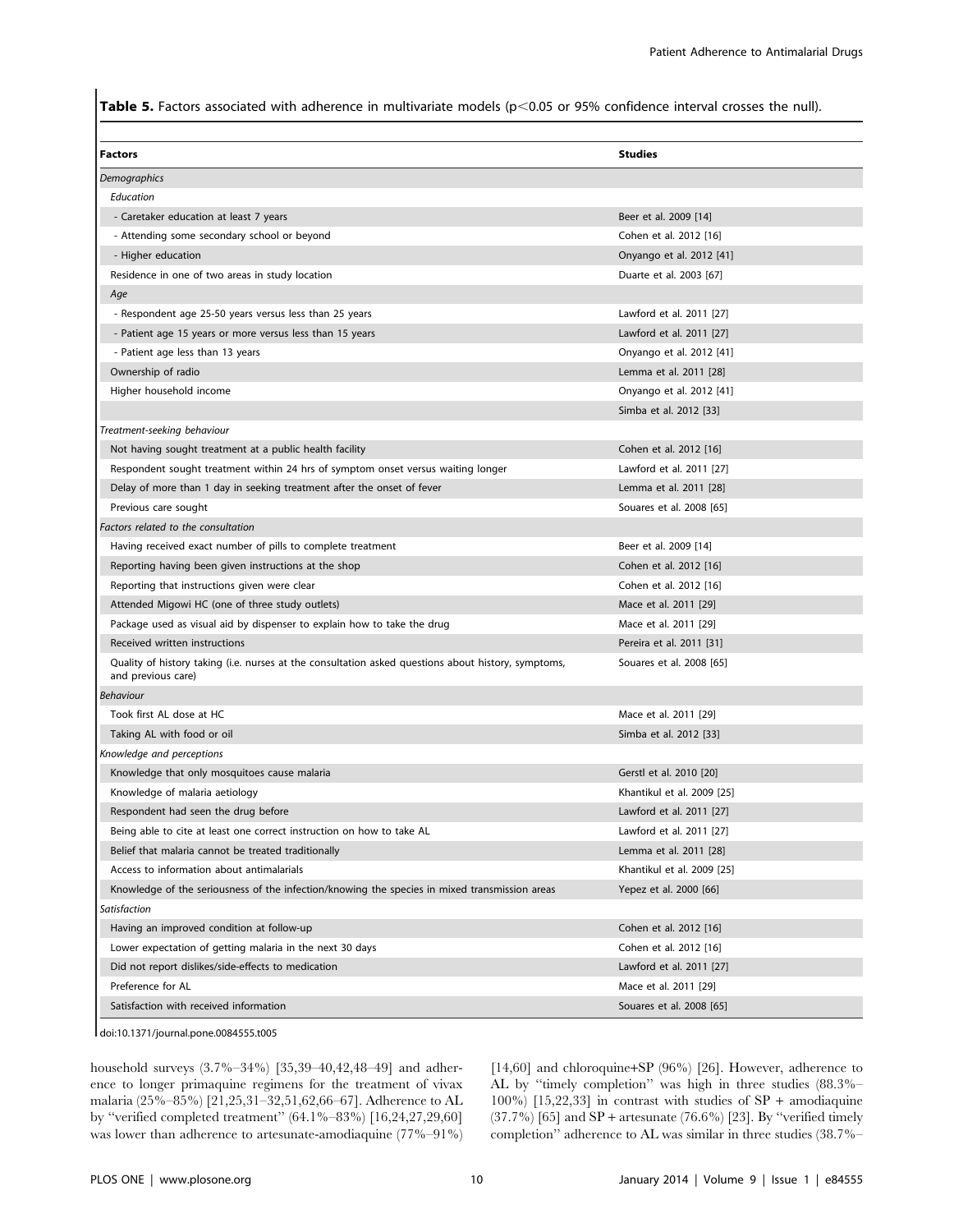Table 5. Factors associated with adherence in multivariate models ( $p<0.05$  or 95% confidence interval crosses the null).

| <b>Factors</b>                                                                                                            | <b>Studies</b>             |
|---------------------------------------------------------------------------------------------------------------------------|----------------------------|
| Demographics                                                                                                              |                            |
| Education                                                                                                                 |                            |
| - Caretaker education at least 7 years                                                                                    | Beer et al. 2009 [14]      |
| - Attending some secondary school or beyond                                                                               | Cohen et al. 2012 [16]     |
| - Higher education                                                                                                        | Onyango et al. 2012 [41]   |
| Residence in one of two areas in study location                                                                           | Duarte et al. 2003 [67]    |
| Age                                                                                                                       |                            |
| - Respondent age 25-50 years versus less than 25 years                                                                    | Lawford et al. 2011 [27]   |
| - Patient age 15 years or more versus less than 15 years                                                                  | Lawford et al. 2011 [27]   |
| - Patient age less than 13 years                                                                                          | Onyango et al. 2012 [41]   |
| Ownership of radio                                                                                                        | Lemma et al. 2011 [28]     |
| Higher household income                                                                                                   | Onyango et al. 2012 [41]   |
|                                                                                                                           | Simba et al. 2012 [33]     |
| Treatment-seeking behaviour                                                                                               |                            |
| Not having sought treatment at a public health facility                                                                   | Cohen et al. 2012 [16]     |
| Respondent sought treatment within 24 hrs of symptom onset versus waiting longer                                          | Lawford et al. 2011 [27]   |
| Delay of more than 1 day in seeking treatment after the onset of fever                                                    | Lemma et al. 2011 [28]     |
| Previous care sought                                                                                                      | Souares et al. 2008 [65]   |
| Factors related to the consultation                                                                                       |                            |
| Having received exact number of pills to complete treatment                                                               | Beer et al. 2009 [14]      |
| Reporting having been given instructions at the shop                                                                      | Cohen et al. 2012 [16]     |
| Reporting that instructions given were clear                                                                              | Cohen et al. 2012 [16]     |
| Attended Migowi HC (one of three study outlets)                                                                           | Mace et al. 2011 [29]      |
| Package used as visual aid by dispenser to explain how to take the drug                                                   | Mace et al. 2011 [29]      |
| Received written instructions                                                                                             | Pereira et al. 2011 [31]   |
| Quality of history taking (i.e. nurses at the consultation asked questions about history, symptoms,<br>and previous care) | Souares et al. 2008 [65]   |
| Behaviour                                                                                                                 |                            |
| Took first AL dose at HC                                                                                                  | Mace et al. 2011 [29]      |
| Taking AL with food or oil                                                                                                | Simba et al. 2012 [33]     |
| Knowledge and perceptions                                                                                                 |                            |
| Knowledge that only mosquitoes cause malaria                                                                              | Gerstl et al. 2010 [20]    |
| Knowledge of malaria aetiology                                                                                            | Khantikul et al. 2009 [25] |
| Respondent had seen the drug before                                                                                       | Lawford et al. 2011 [27]   |
| Being able to cite at least one correct instruction on how to take AL                                                     | Lawford et al. 2011 [27]   |
| Belief that malaria cannot be treated traditionally                                                                       | Lemma et al. 2011 [28]     |
| Access to information about antimalarials                                                                                 | Khantikul et al. 2009 [25] |
| Knowledge of the seriousness of the infection/knowing the species in mixed transmission areas                             | Yepez et al. 2000 [66]     |
| Satisfaction                                                                                                              |                            |
| Having an improved condition at follow-up                                                                                 | Cohen et al. 2012 [16]     |
| Lower expectation of getting malaria in the next 30 days                                                                  | Cohen et al. 2012 [16]     |
| Did not report dislikes/side-effects to medication                                                                        | Lawford et al. 2011 [27]   |
| Preference for AL                                                                                                         | Mace et al. 2011 [29]      |
| Satisfaction with received information                                                                                    | Souares et al. 2008 [65]   |

doi:10.1371/journal.pone.0084555.t005

household surveys (3.7%–34%) [35,39–40,42,48–49] and adherence to longer primaquine regimens for the treatment of vivax malaria (25%–85%) [21,25,31–32,51,62,66–67]. Adherence to AL by ''verified completed treatment'' (64.1%–83%) [16,24,27,29,60] was lower than adherence to artesunate-amodiaquine (77%–91%)

[14,60] and chloroquine+SP (96%) [26]. However, adherence to AL by ''timely completion'' was high in three studies (88.3%– 100%) [15,22,33] in contrast with studies of  $SP +$  amodiaquine  $(37.7%)$  [65] and SP + artesunate  $(76.6%)$  [23]. By "verified timely completion'' adherence to AL was similar in three studies (38.7%–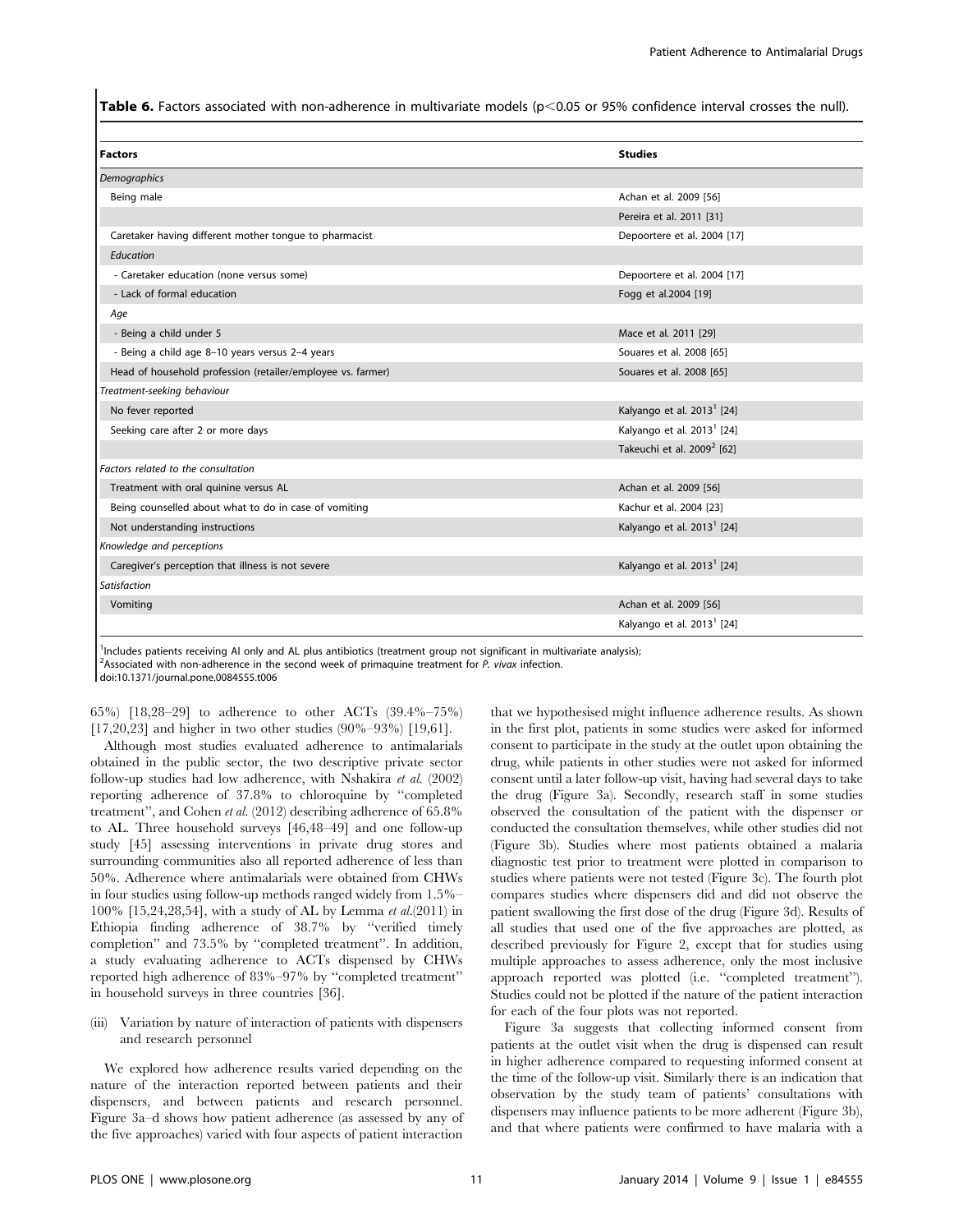Table 6. Factors associated with non-adherence in multivariate models ( $p<0.05$  or 95% confidence interval crosses the null).

| <b>Studies</b>                         |
|----------------------------------------|
|                                        |
| Achan et al. 2009 [56]                 |
| Pereira et al. 2011 [31]               |
| Depoortere et al. 2004 [17]            |
|                                        |
| Depoortere et al. 2004 [17]            |
| Fogg et al.2004 [19]                   |
|                                        |
| Mace et al. 2011 [29]                  |
| Souares et al. 2008 [65]               |
| Souares et al. 2008 [65]               |
|                                        |
| Kalyango et al. 2013 <sup>1</sup> [24] |
| Kalyango et al. 2013 <sup>1</sup> [24] |
| Takeuchi et al. 2009 <sup>2</sup> [62] |
|                                        |
| Achan et al. 2009 [56]                 |
| Kachur et al. 2004 [23]                |
| Kalyango et al. 2013 <sup>1</sup> [24] |
|                                        |
| Kalyango et al. 2013 <sup>1</sup> [24] |
|                                        |
| Achan et al. 2009 [56]                 |
| Kalyango et al. 2013 <sup>1</sup> [24] |
|                                        |

<sup>1</sup>Includes patients receiving Al only and AL plus antibiotics (treatment group not significant in multivariate analysis);  $2$ Associated with non-adherence in the second week of primaquine treatment for P. vivax infection. doi:10.1371/journal.pone.0084555.t006

65%) [18,28–29] to adherence to other ACTs (39.4%–75%) [17,20,23] and higher in two other studies (90%–93%) [19,61].

Although most studies evaluated adherence to antimalarials obtained in the public sector, the two descriptive private sector follow-up studies had low adherence, with Nshakira et al. (2002) reporting adherence of 37.8% to chloroquine by ''completed treatment'', and Cohen et al. (2012) describing adherence of 65.8% to AL. Three household surveys [46,48–49] and one follow-up study [45] assessing interventions in private drug stores and surrounding communities also all reported adherence of less than 50%. Adherence where antimalarials were obtained from CHWs in four studies using follow-up methods ranged widely from 1.5%– 100% [15,24,28,54], with a study of AL by Lemma et al.(2011) in Ethiopia finding adherence of 38.7% by ''verified timely completion'' and 73.5% by ''completed treatment''. In addition, a study evaluating adherence to ACTs dispensed by CHWs reported high adherence of 83%–97% by ''completed treatment'' in household surveys in three countries [36].

(iii) Variation by nature of interaction of patients with dispensers and research personnel

We explored how adherence results varied depending on the nature of the interaction reported between patients and their dispensers, and between patients and research personnel. Figure 3a–d shows how patient adherence (as assessed by any of the five approaches) varied with four aspects of patient interaction

that we hypothesised might influence adherence results. As shown in the first plot, patients in some studies were asked for informed consent to participate in the study at the outlet upon obtaining the drug, while patients in other studies were not asked for informed consent until a later follow-up visit, having had several days to take the drug (Figure 3a). Secondly, research staff in some studies observed the consultation of the patient with the dispenser or conducted the consultation themselves, while other studies did not (Figure 3b). Studies where most patients obtained a malaria diagnostic test prior to treatment were plotted in comparison to studies where patients were not tested (Figure 3c). The fourth plot compares studies where dispensers did and did not observe the patient swallowing the first dose of the drug (Figure 3d). Results of all studies that used one of the five approaches are plotted, as described previously for Figure 2, except that for studies using multiple approaches to assess adherence, only the most inclusive approach reported was plotted (i.e. ''completed treatment''). Studies could not be plotted if the nature of the patient interaction for each of the four plots was not reported.

Figure 3a suggests that collecting informed consent from patients at the outlet visit when the drug is dispensed can result in higher adherence compared to requesting informed consent at the time of the follow-up visit. Similarly there is an indication that observation by the study team of patients' consultations with dispensers may influence patients to be more adherent (Figure 3b), and that where patients were confirmed to have malaria with a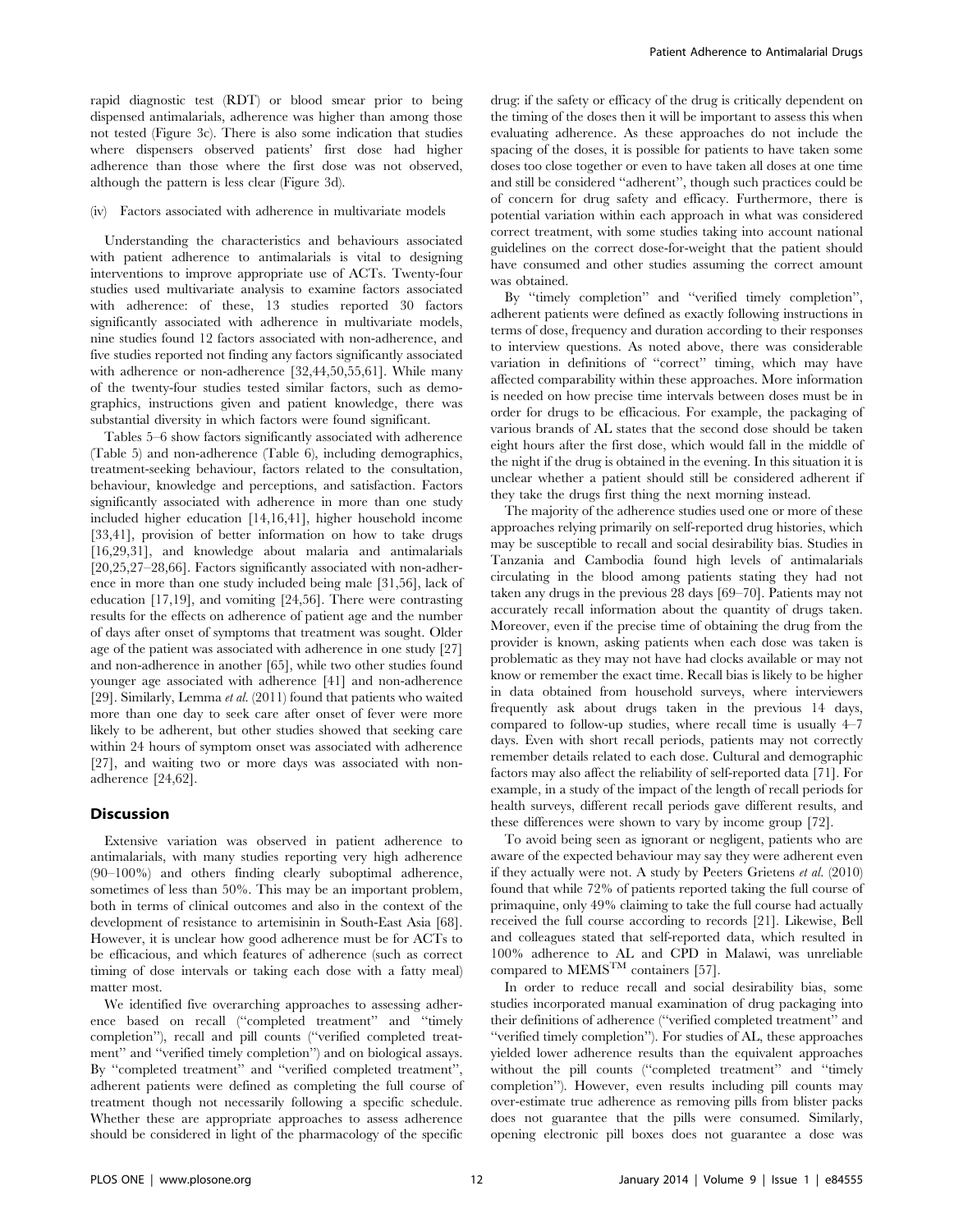rapid diagnostic test (RDT) or blood smear prior to being dispensed antimalarials, adherence was higher than among those not tested (Figure 3c). There is also some indication that studies where dispensers observed patients' first dose had higher adherence than those where the first dose was not observed, although the pattern is less clear (Figure 3d).

### (iv) Factors associated with adherence in multivariate models

Understanding the characteristics and behaviours associated with patient adherence to antimalarials is vital to designing interventions to improve appropriate use of ACTs. Twenty-four studies used multivariate analysis to examine factors associated with adherence: of these, 13 studies reported 30 factors significantly associated with adherence in multivariate models, nine studies found 12 factors associated with non-adherence, and five studies reported not finding any factors significantly associated with adherence or non-adherence [32,44,50,55,61]. While many of the twenty-four studies tested similar factors, such as demographics, instructions given and patient knowledge, there was substantial diversity in which factors were found significant.

Tables 5–6 show factors significantly associated with adherence (Table 5) and non-adherence (Table 6), including demographics, treatment-seeking behaviour, factors related to the consultation, behaviour, knowledge and perceptions, and satisfaction. Factors significantly associated with adherence in more than one study included higher education [14,16,41], higher household income [33,41], provision of better information on how to take drugs [16,29,31], and knowledge about malaria and antimalarials [20,25,27–28,66]. Factors significantly associated with non-adherence in more than one study included being male [31,56], lack of education [17,19], and vomiting [24,56]. There were contrasting results for the effects on adherence of patient age and the number of days after onset of symptoms that treatment was sought. Older age of the patient was associated with adherence in one study [27] and non-adherence in another [65], while two other studies found younger age associated with adherence [41] and non-adherence [29]. Similarly, Lemma et al. (2011) found that patients who waited more than one day to seek care after onset of fever were more likely to be adherent, but other studies showed that seeking care within 24 hours of symptom onset was associated with adherence [27], and waiting two or more days was associated with nonadherence [24,62].

#### Discussion

Extensive variation was observed in patient adherence to antimalarials, with many studies reporting very high adherence (90–100%) and others finding clearly suboptimal adherence, sometimes of less than 50%. This may be an important problem, both in terms of clinical outcomes and also in the context of the development of resistance to artemisinin in South-East Asia [68]. However, it is unclear how good adherence must be for ACTs to be efficacious, and which features of adherence (such as correct timing of dose intervals or taking each dose with a fatty meal) matter most.

We identified five overarching approaches to assessing adherence based on recall (''completed treatment'' and ''timely completion''), recall and pill counts (''verified completed treatment" and "verified timely completion") and on biological assays. By ''completed treatment'' and ''verified completed treatment'', adherent patients were defined as completing the full course of treatment though not necessarily following a specific schedule. Whether these are appropriate approaches to assess adherence should be considered in light of the pharmacology of the specific

drug: if the safety or efficacy of the drug is critically dependent on the timing of the doses then it will be important to assess this when evaluating adherence. As these approaches do not include the spacing of the doses, it is possible for patients to have taken some doses too close together or even to have taken all doses at one time and still be considered ''adherent'', though such practices could be of concern for drug safety and efficacy. Furthermore, there is potential variation within each approach in what was considered correct treatment, with some studies taking into account national guidelines on the correct dose-for-weight that the patient should have consumed and other studies assuming the correct amount was obtained.

By ''timely completion'' and ''verified timely completion'', adherent patients were defined as exactly following instructions in terms of dose, frequency and duration according to their responses to interview questions. As noted above, there was considerable variation in definitions of ''correct'' timing, which may have affected comparability within these approaches. More information is needed on how precise time intervals between doses must be in order for drugs to be efficacious. For example, the packaging of various brands of AL states that the second dose should be taken eight hours after the first dose, which would fall in the middle of the night if the drug is obtained in the evening. In this situation it is unclear whether a patient should still be considered adherent if they take the drugs first thing the next morning instead.

The majority of the adherence studies used one or more of these approaches relying primarily on self-reported drug histories, which may be susceptible to recall and social desirability bias. Studies in Tanzania and Cambodia found high levels of antimalarials circulating in the blood among patients stating they had not taken any drugs in the previous 28 days [69–70]. Patients may not accurately recall information about the quantity of drugs taken. Moreover, even if the precise time of obtaining the drug from the provider is known, asking patients when each dose was taken is problematic as they may not have had clocks available or may not know or remember the exact time. Recall bias is likely to be higher in data obtained from household surveys, where interviewers frequently ask about drugs taken in the previous 14 days, compared to follow-up studies, where recall time is usually 4–7 days. Even with short recall periods, patients may not correctly remember details related to each dose. Cultural and demographic factors may also affect the reliability of self-reported data [71]. For example, in a study of the impact of the length of recall periods for health surveys, different recall periods gave different results, and these differences were shown to vary by income group [72].

To avoid being seen as ignorant or negligent, patients who are aware of the expected behaviour may say they were adherent even if they actually were not. A study by Peeters Grietens et al. (2010) found that while 72% of patients reported taking the full course of primaquine, only 49% claiming to take the full course had actually received the full course according to records [21]. Likewise, Bell and colleagues stated that self-reported data, which resulted in 100% adherence to AL and CPD in Malawi, was unreliable compared to  $\text{MEMS}^{\text{TM}}$  containers [57].

In order to reduce recall and social desirability bias, some studies incorporated manual examination of drug packaging into their definitions of adherence (''verified completed treatment'' and ''verified timely completion''). For studies of AL, these approaches yielded lower adherence results than the equivalent approaches without the pill counts (''completed treatment'' and ''timely completion''). However, even results including pill counts may over-estimate true adherence as removing pills from blister packs does not guarantee that the pills were consumed. Similarly, opening electronic pill boxes does not guarantee a dose was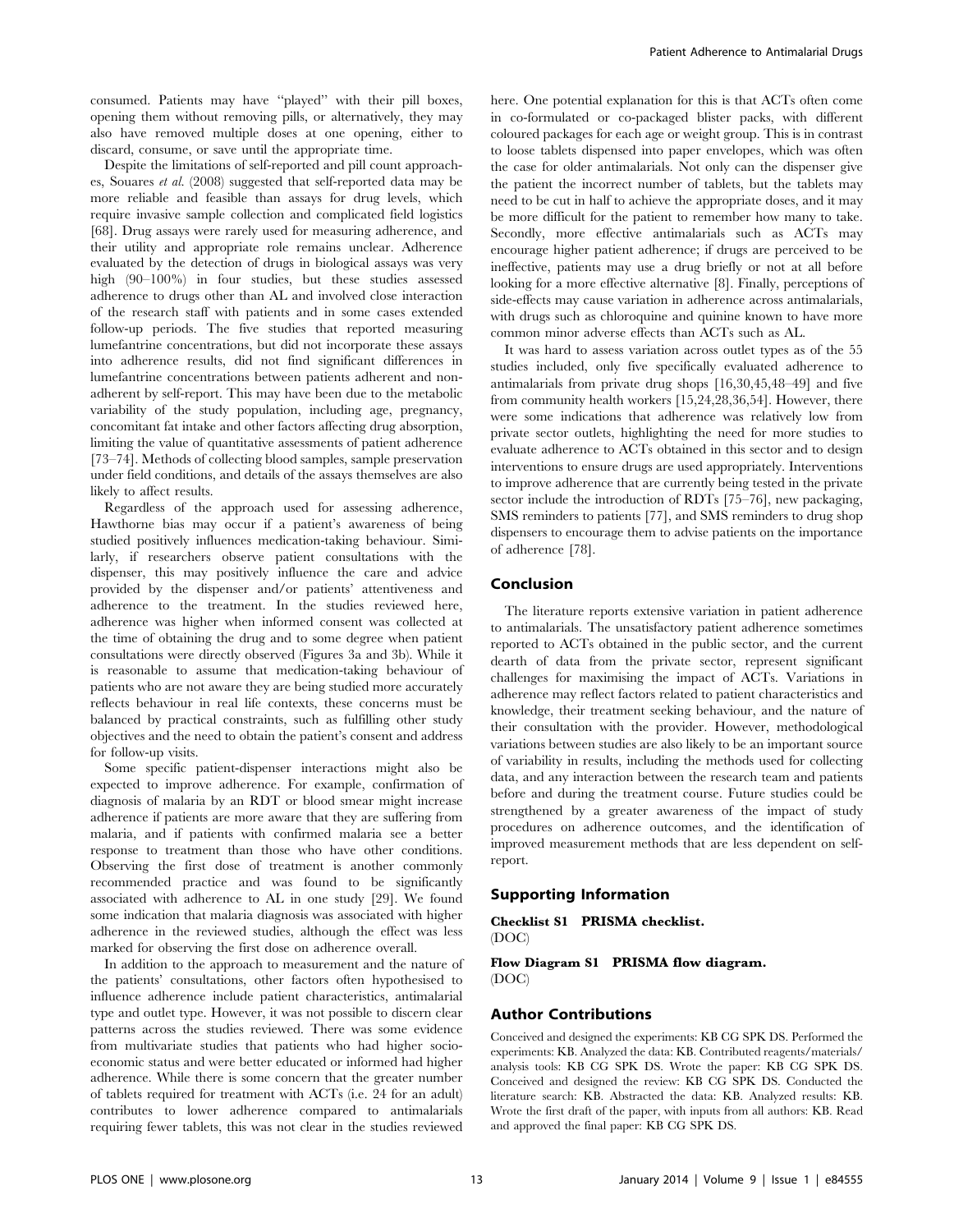consumed. Patients may have ''played'' with their pill boxes, opening them without removing pills, or alternatively, they may also have removed multiple doses at one opening, either to discard, consume, or save until the appropriate time.

Despite the limitations of self-reported and pill count approaches, Souares et al. (2008) suggested that self-reported data may be more reliable and feasible than assays for drug levels, which require invasive sample collection and complicated field logistics [68]. Drug assays were rarely used for measuring adherence, and their utility and appropriate role remains unclear. Adherence evaluated by the detection of drugs in biological assays was very high (90–100%) in four studies, but these studies assessed adherence to drugs other than AL and involved close interaction of the research staff with patients and in some cases extended follow-up periods. The five studies that reported measuring lumefantrine concentrations, but did not incorporate these assays into adherence results, did not find significant differences in lumefantrine concentrations between patients adherent and nonadherent by self-report. This may have been due to the metabolic variability of the study population, including age, pregnancy, concomitant fat intake and other factors affecting drug absorption, limiting the value of quantitative assessments of patient adherence [73–74]. Methods of collecting blood samples, sample preservation under field conditions, and details of the assays themselves are also likely to affect results.

Regardless of the approach used for assessing adherence, Hawthorne bias may occur if a patient's awareness of being studied positively influences medication-taking behaviour. Similarly, if researchers observe patient consultations with the dispenser, this may positively influence the care and advice provided by the dispenser and/or patients' attentiveness and adherence to the treatment. In the studies reviewed here, adherence was higher when informed consent was collected at the time of obtaining the drug and to some degree when patient consultations were directly observed (Figures 3a and 3b). While it is reasonable to assume that medication-taking behaviour of patients who are not aware they are being studied more accurately reflects behaviour in real life contexts, these concerns must be balanced by practical constraints, such as fulfilling other study objectives and the need to obtain the patient's consent and address for follow-up visits.

Some specific patient-dispenser interactions might also be expected to improve adherence. For example, confirmation of diagnosis of malaria by an RDT or blood smear might increase adherence if patients are more aware that they are suffering from malaria, and if patients with confirmed malaria see a better response to treatment than those who have other conditions. Observing the first dose of treatment is another commonly recommended practice and was found to be significantly associated with adherence to AL in one study [29]. We found some indication that malaria diagnosis was associated with higher adherence in the reviewed studies, although the effect was less marked for observing the first dose on adherence overall.

In addition to the approach to measurement and the nature of the patients' consultations, other factors often hypothesised to influence adherence include patient characteristics, antimalarial type and outlet type. However, it was not possible to discern clear patterns across the studies reviewed. There was some evidence from multivariate studies that patients who had higher socioeconomic status and were better educated or informed had higher adherence. While there is some concern that the greater number of tablets required for treatment with ACTs (i.e. 24 for an adult) contributes to lower adherence compared to antimalarials requiring fewer tablets, this was not clear in the studies reviewed

here. One potential explanation for this is that ACTs often come in co-formulated or co-packaged blister packs, with different coloured packages for each age or weight group. This is in contrast to loose tablets dispensed into paper envelopes, which was often the case for older antimalarials. Not only can the dispenser give the patient the incorrect number of tablets, but the tablets may need to be cut in half to achieve the appropriate doses, and it may be more difficult for the patient to remember how many to take. Secondly, more effective antimalarials such as ACTs may encourage higher patient adherence; if drugs are perceived to be ineffective, patients may use a drug briefly or not at all before looking for a more effective alternative [8]. Finally, perceptions of side-effects may cause variation in adherence across antimalarials, with drugs such as chloroquine and quinine known to have more common minor adverse effects than ACTs such as AL.

It was hard to assess variation across outlet types as of the 55 studies included, only five specifically evaluated adherence to antimalarials from private drug shops [16,30,45,48–49] and five from community health workers [15,24,28,36,54]. However, there were some indications that adherence was relatively low from private sector outlets, highlighting the need for more studies to evaluate adherence to ACTs obtained in this sector and to design interventions to ensure drugs are used appropriately. Interventions to improve adherence that are currently being tested in the private sector include the introduction of RDTs [75–76], new packaging, SMS reminders to patients [77], and SMS reminders to drug shop dispensers to encourage them to advise patients on the importance of adherence [78].

# Conclusion

The literature reports extensive variation in patient adherence to antimalarials. The unsatisfactory patient adherence sometimes reported to ACTs obtained in the public sector, and the current dearth of data from the private sector, represent significant challenges for maximising the impact of ACTs. Variations in adherence may reflect factors related to patient characteristics and knowledge, their treatment seeking behaviour, and the nature of their consultation with the provider. However, methodological variations between studies are also likely to be an important source of variability in results, including the methods used for collecting data, and any interaction between the research team and patients before and during the treatment course. Future studies could be strengthened by a greater awareness of the impact of study procedures on adherence outcomes, and the identification of improved measurement methods that are less dependent on selfreport.

# Supporting Information

Checklist S1 PRISMA checklist.

(DOC)

Flow Diagram S1 PRISMA flow diagram. (DOC)

# Author Contributions

Conceived and designed the experiments: KB CG SPK DS. Performed the experiments: KB. Analyzed the data: KB. Contributed reagents/materials/ analysis tools: KB CG SPK DS. Wrote the paper: KB CG SPK DS. Conceived and designed the review: KB CG SPK DS. Conducted the literature search: KB. Abstracted the data: KB. Analyzed results: KB. Wrote the first draft of the paper, with inputs from all authors: KB. Read and approved the final paper: KB CG SPK DS.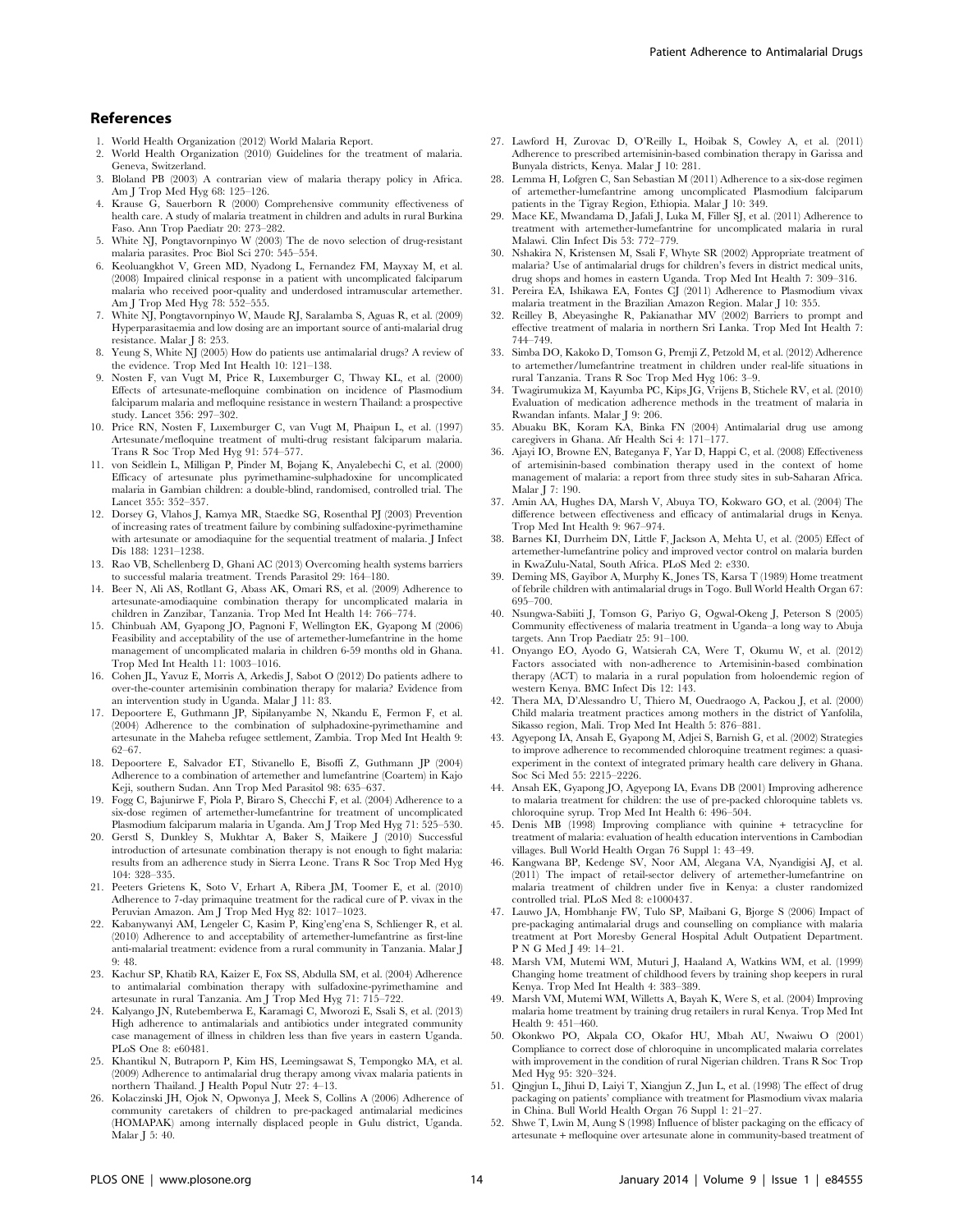- 1. World Health Organization (2012) World Malaria Report.
- 2. World Health Organization (2010) Guidelines for the treatment of malaria. Geneva, Switzerland.
- 3. Bloland PB (2003) A contrarian view of malaria therapy policy in Africa. Am J Trop Med Hyg 68: 125–126.
- 4. Krause G, Sauerborn R (2000) Comprehensive community effectiveness of health care. A study of malaria treatment in children and adults in rural Burkina Faso. Ann Trop Paediatr 20: 273–282.
- 5. White NJ, Pongtavornpinyo W (2003) The de novo selection of drug-resistant malaria parasites. Proc Biol Sci 270: 545–554.
- 6. Keoluangkhot V, Green MD, Nyadong L, Fernandez FM, Mayxay M, et al. (2008) Impaired clinical response in a patient with uncomplicated falciparum malaria who received poor-quality and underdosed intramuscular artemether. Am J Trop Med Hyg 78: 552–555.
- 7. White NJ, Pongtavornpinyo W, Maude RJ, Saralamba S, Aguas R, et al. (2009) Hyperparasitaemia and low dosing are an important source of anti-malarial drug resistance. Malar J 8: 253.
- Yeung S, White NJ (2005) How do patients use antimalarial drugs? A review of the evidence. Trop Med Int Health 10: 121–138.
- 9. Nosten F, van Vugt M, Price R, Luxemburger C, Thway KL, et al. (2000) Effects of artesunate-mefloquine combination on incidence of Plasmodium falciparum malaria and mefloquine resistance in western Thailand: a prospective study. Lancet 356: 297–302.
- 10. Price RN, Nosten F, Luxemburger C, van Vugt M, Phaipun L, et al. (1997) Artesunate/mefloquine treatment of multi-drug resistant falciparum malaria. Trans R Soc Trop Med Hyg 91: 574–577.
- 11. von Seidlein L, Milligan P, Pinder M, Bojang K, Anyalebechi C, et al. (2000) Efficacy of artesunate plus pyrimethamine-sulphadoxine for uncomplicated malaria in Gambian children: a double-blind, randomised, controlled trial. The Lancet 355: 352–357.
- 12. Dorsey G, Vlahos J, Kamya MR, Staedke SG, Rosenthal PJ (2003) Prevention of increasing rates of treatment failure by combining sulfadoxine-pyrimethamine with artesunate or amodiaquine for the sequential treatment of malaria. J Infect Dis 188: 1231–1238.
- 13. Rao VB, Schellenberg D, Ghani AC (2013) Overcoming health systems barriers to successful malaria treatment. Trends Parasitol 29: 164–180.
- 14. Beer N, Ali AS, Rotllant G, Abass AK, Omari RS, et al. (2009) Adherence to artesunate-amodiaquine combination therapy for uncomplicated malaria in children in Zanzibar, Tanzania. Trop Med Int Health 14: 766–774.
- 15. Chinbuah AM, Gyapong JO, Pagnoni F, Wellington EK, Gyapong M (2006) Feasibility and acceptability of the use of artemether-lumefantrine in the home management of uncomplicated malaria in children 6-59 months old in Ghana. Trop Med Int Health 11: 1003–1016.
- 16. Cohen JL, Yavuz E, Morris A, Arkedis J, Sabot O (2012) Do patients adhere to over-the-counter artemisinin combination therapy for malaria? Evidence from an intervention study in Uganda. Malar J 11: 83.
- 17. Depoortere E, Guthmann JP, Sipilanyambe N, Nkandu E, Fermon F, et al. (2004) Adherence to the combination of sulphadoxine-pyrimethamine and artesunate in the Maheba refugee settlement, Zambia. Trop Med Int Health 9:
- 62–67. 18. Depoortere E, Salvador ET, Stivanello E, Bisoffi Z, Guthmann JP (2004) Adherence to a combination of artemether and lumefantrine (Coartem) in Kajo Keji, southern Sudan. Ann Trop Med Parasitol 98: 635–637.
- 19. Fogg C, Bajunirwe F, Piola P, Biraro S, Checchi F, et al. (2004) Adherence to a six-dose regimen of artemether-lumefantrine for treatment of uncomplicated
- Plasmodium falciparum malaria in Uganda. Am J Trop Med Hyg 71: 525–530. 20. Gerstl S, Dunkley S, Mukhtar A, Baker S, Maikere J (2010) Successful introduction of artesunate combination therapy is not enough to fight malaria: results from an adherence study in Sierra Leone. Trans R Soc Trop Med Hyg 104: 328–335.
- 21. Peeters Grietens K, Soto V, Erhart A, Ribera JM, Toomer E, et al. (2010) Adherence to 7-day primaquine treatment for the radical cure of P. vivax in the Peruvian Amazon. Am J Trop Med Hyg 82: 1017–1023.
- 22. Kabanywanyi AM, Lengeler C, Kasim P, King'eng'ena S, Schlienger R, et al. (2010) Adherence to and acceptability of artemether-lumefantrine as first-line anti-malarial treatment: evidence from a rural community in Tanzania. Malar J 9: 48.
- 23. Kachur SP, Khatib RA, Kaizer E, Fox SS, Abdulla SM, et al. (2004) Adherence to antimalarial combination therapy with sulfadoxine-pyrimethamine and artesunate in rural Tanzania. Am J Trop Med Hyg 71: 715–722.
- 24. Kalyango JN, Rutebemberwa E, Karamagi C, Mworozi E, Ssali S, et al. (2013) High adherence to antimalarials and antibiotics under integrated community case management of illness in children less than five years in eastern Uganda. PLoS One 8: e60481.
- 25. Khantikul N, Butraporn P, Kim HS, Leemingsawat S, Tempongko MA, et al. (2009) Adherence to antimalarial drug therapy among vivax malaria patients in northern Thailand. J Health Popul Nutr 27: 4–13.
- 26. Kolaczinski JH, Ojok N, Opwonya J, Meek S, Collins A (2006) Adherence of community caretakers of children to pre-packaged antimalarial medicines (HOMAPAK) among internally displaced people in Gulu district, Uganda. Malar J 5: 40.
- 27. Lawford H, Zurovac D, O'Reilly L, Hoibak S, Cowley A, et al. (2011) Adherence to prescribed artemisinin-based combination therapy in Garissa and Bunyala districts, Kenya. Malar J 10: 281.
- 28. Lemma H, Lofgren C, San Sebastian M (2011) Adherence to a six-dose regimen of artemether-lumefantrine among uncomplicated Plasmodium falciparum patients in the Tigray Region, Ethiopia. Malar J 10: 349.
- 29. Mace KE, Mwandama D, Jafali J, Luka M, Filler SJ, et al. (2011) Adherence to treatment with artemether-lumefantrine for uncomplicated malaria in rural Malawi. Clin Infect Dis 53: 772–779.
- 30. Nshakira N, Kristensen M, Ssali F, Whyte SR (2002) Appropriate treatment of malaria? Use of antimalarial drugs for children's fevers in district medical units, drug shops and homes in eastern Uganda. Trop Med Int Health 7: 309–316.
- 31. Pereira EA, Ishikawa EA, Fontes CJ (2011) Adherence to Plasmodium vivax malaria treatment in the Brazilian Amazon Region. Malar J 10: 355.
- 32. Reilley B, Abeyasinghe R, Pakianathar MV (2002) Barriers to prompt and effective treatment of malaria in northern Sri Lanka. Trop Med Int Health 7: 744–749.
- 33. Simba DO, Kakoko D, Tomson G, Premji Z, Petzold M, et al. (2012) Adherence to artemether/lumefantrine treatment in children under real-life situations in rural Tanzania. Trans R Soc Trop Med Hyg 106: 3–9.
- 34. Twagirumukiza M, Kayumba PC, Kips JG, Vrijens B, Stichele RV, et al. (2010) Evaluation of medication adherence methods in the treatment of malaria in Rwandan infants. Malar J 9: 206.
- 35. Abuaku BK, Koram KA, Binka FN (2004) Antimalarial drug use among caregivers in Ghana. Afr Health Sci 4: 171–177.
- 36. Ajayi IO, Browne EN, Bateganya F, Yar D, Happi C, et al. (2008) Effectiveness of artemisinin-based combination therapy used in the context of home management of malaria: a report from three study sites in sub-Saharan Africa. Malar J 7: 190.
- 37. Amin AA, Hughes DA, Marsh V, Abuya TO, Kokwaro GO, et al. (2004) The difference between effectiveness and efficacy of antimalarial drugs in Kenya. Trop Med Int Health 9: 967–974.
- 38. Barnes KI, Durrheim DN, Little F, Jackson A, Mehta U, et al. (2005) Effect of artemether-lumefantrine policy and improved vector control on malaria burden in KwaZulu-Natal, South Africa. PLoS Med 2: e330.
- 39. Deming MS, Gayibor A, Murphy K, Jones TS, Karsa T (1989) Home treatment of febrile children with antimalarial drugs in Togo. Bull World Health Organ 67: 695–700.
- 40. Nsungwa-Sabiiti J, Tomson G, Pariyo G, Ogwal-Okeng J, Peterson S (2005) Community effectiveness of malaria treatment in Uganda–a long way to Abuja targets. Ann Trop Paediatr 25: 91–100.
- 41. Onyango EO, Ayodo G, Watsierah CA, Were T, Okumu W, et al. (2012) Factors associated with non-adherence to Artemisinin-based combination therapy (ACT) to malaria in a rural population from holoendemic region of western Kenya. BMC Infect Dis 12: 143.
- 42. Thera MA, D'Alessandro U, Thiero M, Ouedraogo A, Packou J, et al. (2000) Child malaria treatment practices among mothers in the district of Yanfolila, Sikasso region, Mali. Trop Med Int Health 5: 876–881.
- 43. Agyepong IA, Ansah E, Gyapong M, Adjei S, Barnish G, et al. (2002) Strategies to improve adherence to recommended chloroquine treatment regimes: a quasiexperiment in the context of integrated primary health care delivery in Ghana. Soc Sci Med 55: 2215–2226.
- 44. Ansah EK, Gyapong JO, Agyepong IA, Evans DB (2001) Improving adherence to malaria treatment for children: the use of pre-packed chloroquine tablets vs. chloroquine syrup. Trop Med Int Health 6: 496–504.
- 45. Denis MB (1998) Improving compliance with quinine + tetracycline for treatment of malaria: evaluation of health education interventions in Cambodian villages. Bull World Health Organ 76 Suppl 1: 43–49.
- 46. Kangwana BP, Kedenge SV, Noor AM, Alegana VA, Nyandigisi AJ, et al. (2011) The impact of retail-sector delivery of artemether-lumefantrine on malaria treatment of children under five in Kenya: a cluster randomized controlled trial. PLoS Med 8: e1000437.
- 47. Lauwo JA, Hombhanje FW, Tulo SP, Maibani G, Bjorge S (2006) Impact of pre-packaging antimalarial drugs and counselling on compliance with malaria treatment at Port Moresby General Hospital Adult Outpatient Department. P N G Med J 49: 14–21.
- 48. Marsh VM, Mutemi WM, Muturi J, Haaland A, Watkins WM, et al. (1999) Changing home treatment of childhood fevers by training shop keepers in rural Kenya. Trop Med Int Health 4: 383–389.
- 49. Marsh VM, Mutemi WM, Willetts A, Bayah K, Were S, et al. (2004) Improving malaria home treatment by training drug retailers in rural Kenya. Trop Med Int Health 9: 451–460.
- 50. Okonkwo PO, Akpala CO, Okafor HU, Mbah AU, Nwaiwu O (2001) Compliance to correct dose of chloroquine in uncomplicated malaria correlates with improvement in the condition of rural Nigerian children. Trans R Soc Trop Med Hyg 95: 320–324.
- 51. Qingjun L, Jihui D, Laiyi T, Xiangjun Z, Jun L, et al. (1998) The effect of drug packaging on patients' compliance with treatment for Plasmodium vivax malaria in China. Bull World Health Organ 76 Suppl 1: 21–27.
- 52. Shwe T, Lwin M, Aung S (1998) Influence of blister packaging on the efficacy of artesunate + mefloquine over artesunate alone in community-based treatment of